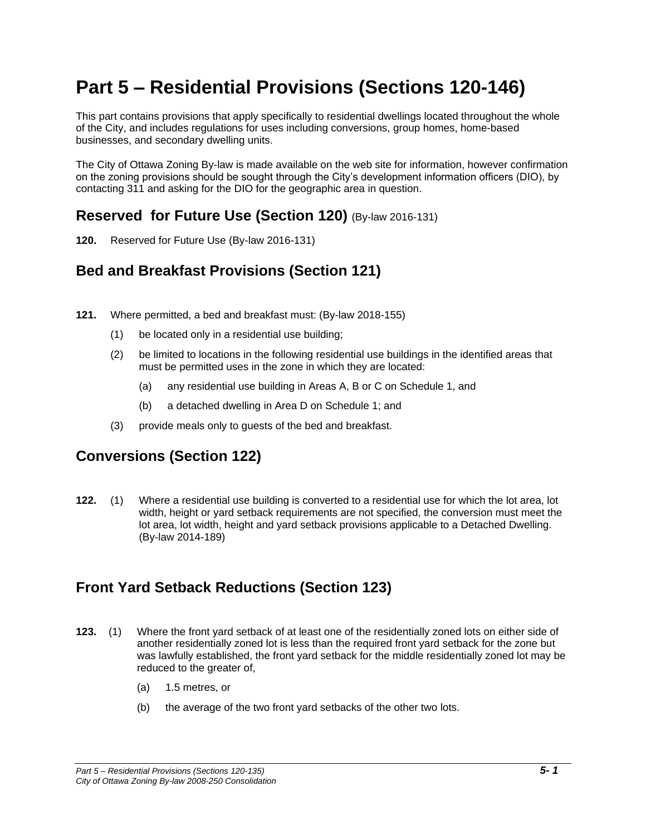# **Part 5 – Residential Provisions (Sections 120-146)**

This part contains provisions that apply specifically to residential dwellings located throughout the whole of the City, and includes regulations for uses including conversions, group homes, home-based businesses, and secondary dwelling units.

The City of Ottawa Zoning By-law is made available on the web site for information, however confirmation on the zoning provisions should be sought through the City's development information officers (DIO), by contacting 311 and asking for the DIO for the geographic area in question.

### **Reserved for Future Use (Section 120)** (By-law 2016-131)

**120.** Reserved for Future Use (By-law 2016-131)

# **Bed and Breakfast Provisions (Section 121)**

- **121.** Where permitted, a bed and breakfast must: (By-law 2018-155)
	- (1) be located only in a residential use building;
	- (2) be limited to locations in the following residential use buildings in the identified areas that must be permitted uses in the zone in which they are located:
		- (a) any residential use building in Areas A, B or C on Schedule 1, and
		- (b) a detached dwelling in Area D on Schedule 1; and
	- (3) provide meals only to guests of the bed and breakfast.

# **Conversions (Section 122)**

**122.** (1) Where a residential use building is converted to a residential use for which the lot area, lot width, height or yard setback requirements are not specified, the conversion must meet the lot area, lot width, height and yard setback provisions applicable to a Detached Dwelling. (By-law 2014-189)

# **Front Yard Setback Reductions (Section 123)**

- **123.** (1) Where the front yard setback of at least one of the residentially zoned lots on either side of another residentially zoned lot is less than the required front yard setback for the zone but was lawfully established, the front yard setback for the middle residentially zoned lot may be reduced to the greater of,
	- (a) 1.5 metres, or
	- (b) the average of the two front yard setbacks of the other two lots.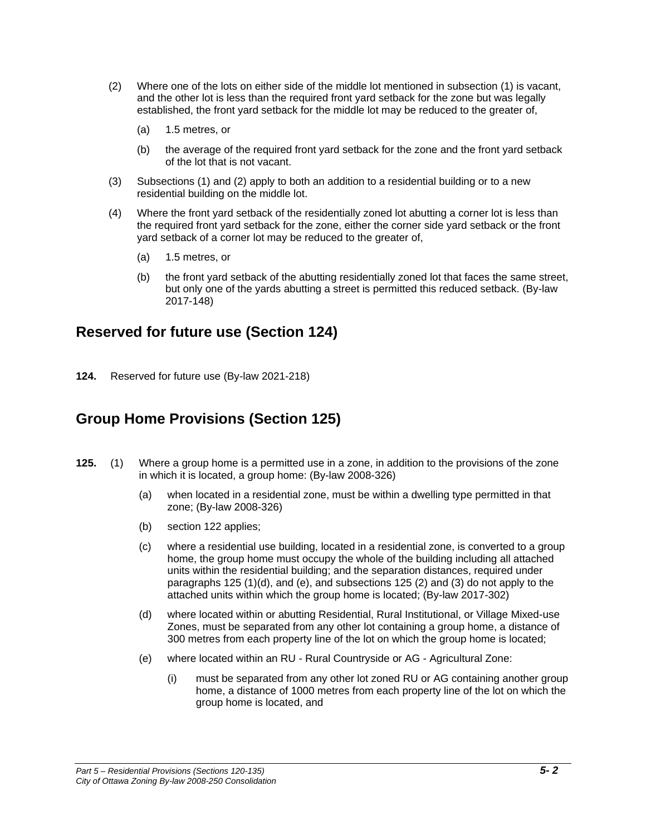- (2) Where one of the lots on either side of the middle lot mentioned in subsection (1) is vacant, and the other lot is less than the required front yard setback for the zone but was legally established, the front yard setback for the middle lot may be reduced to the greater of,
	- (a) 1.5 metres, or
	- (b) the average of the required front yard setback for the zone and the front yard setback of the lot that is not vacant.
- (3) Subsections (1) and (2) apply to both an addition to a residential building or to a new residential building on the middle lot.
- (4) Where the front yard setback of the residentially zoned lot abutting a corner lot is less than the required front yard setback for the zone, either the corner side yard setback or the front yard setback of a corner lot may be reduced to the greater of,
	- (a) 1.5 metres, or
	- (b) the front yard setback of the abutting residentially zoned lot that faces the same street, but only one of the yards abutting a street is permitted this reduced setback. (By-law 2017-148)

### **Reserved for future use (Section 124)**

**124.** Reserved for future use (By-law 2021-218)

# **Group Home Provisions (Section 125)**

- **125.** (1) Where a group home is a permitted use in a zone, in addition to the provisions of the zone in which it is located, a group home: (By-law 2008-326)
	- (a) when located in a residential zone, must be within a dwelling type permitted in that zone; (By-law 2008-326)
	- (b) section 122 applies;
	- (c) where a residential use building, located in a residential zone, is converted to a group home, the group home must occupy the whole of the building including all attached units within the residential building; and the separation distances, required under paragraphs 125 (1)(d), and (e), and subsections 125 (2) and (3) do not apply to the attached units within which the group home is located; (By-law 2017-302)
	- (d) where located within or abutting Residential, Rural Institutional, or Village Mixed-use Zones, must be separated from any other lot containing a group home, a distance of 300 metres from each property line of the lot on which the group home is located;
	- (e) where located within an RU Rural Countryside or AG Agricultural Zone:
		- (i) must be separated from any other lot zoned RU or AG containing another group home, a distance of 1000 metres from each property line of the lot on which the group home is located, and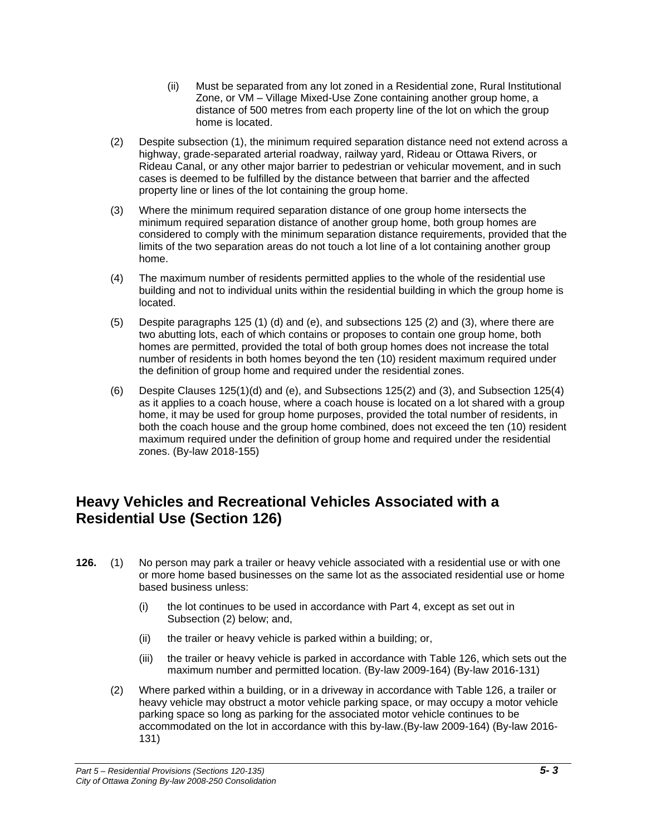- (ii) Must be separated from any lot zoned in a Residential zone, Rural Institutional Zone, or VM – Village Mixed-Use Zone containing another group home, a distance of 500 metres from each property line of the lot on which the group home is located.
- (2) Despite subsection (1), the minimum required separation distance need not extend across a highway, grade-separated arterial roadway, railway yard, Rideau or Ottawa Rivers, or Rideau Canal, or any other major barrier to pedestrian or vehicular movement, and in such cases is deemed to be fulfilled by the distance between that barrier and the affected property line or lines of the lot containing the group home.
- (3) Where the minimum required separation distance of one group home intersects the minimum required separation distance of another group home, both group homes are considered to comply with the minimum separation distance requirements, provided that the limits of the two separation areas do not touch a lot line of a lot containing another group home.
- (4) The maximum number of residents permitted applies to the whole of the residential use building and not to individual units within the residential building in which the group home is located.
- (5) Despite paragraphs 125 (1) (d) and (e), and subsections 125 (2) and (3), where there are two abutting lots, each of which contains or proposes to contain one group home, both homes are permitted, provided the total of both group homes does not increase the total number of residents in both homes beyond the ten (10) resident maximum required under the definition of group home and required under the residential zones.
- (6) Despite Clauses 125(1)(d) and (e), and Subsections 125(2) and (3), and Subsection 125(4) as it applies to a coach house, where a coach house is located on a lot shared with a group home, it may be used for group home purposes, provided the total number of residents, in both the coach house and the group home combined, does not exceed the ten (10) resident maximum required under the definition of group home and required under the residential zones. (By-law 2018-155)

### **Heavy Vehicles and Recreational Vehicles Associated with a Residential Use (Section 126)**

- **126.** (1) No person may park a trailer or heavy vehicle associated with a residential use or with one or more home based businesses on the same lot as the associated residential use or home based business unless:
	- (i) the lot continues to be used in accordance with Part 4, except as set out in Subsection (2) below; and,
	- (ii) the trailer or heavy vehicle is parked within a building; or,
	- (iii) the trailer or heavy vehicle is parked in accordance with Table 126, which sets out the maximum number and permitted location. (By-law 2009-164) (By-law 2016-131)
	- (2) Where parked within a building, or in a driveway in accordance with Table 126, a trailer or heavy vehicle may obstruct a motor vehicle parking space, or may occupy a motor vehicle parking space so long as parking for the associated motor vehicle continues to be accommodated on the lot in accordance with this by-law.(By-law 2009-164) (By-law 2016- 131)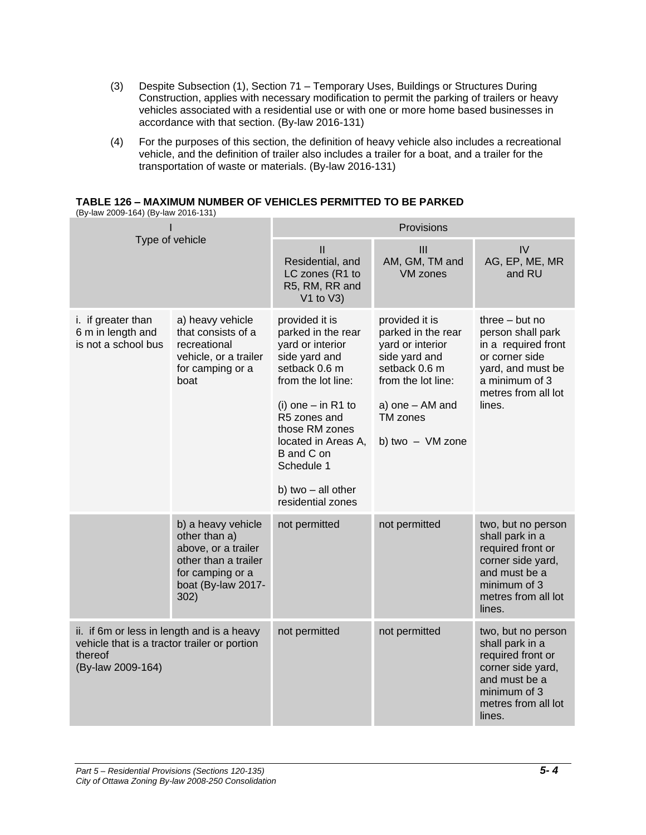- (3) Despite Subsection (1), Section 71 Temporary Uses, Buildings or Structures During Construction, applies with necessary modification to permit the parking of trailers or heavy vehicles associated with a residential use or with one or more home based businesses in accordance with that section. (By-law 2016-131)
- (4) For the purposes of this section, the definition of heavy vehicle also includes a recreational vehicle, and the definition of trailer also includes a trailer for a boat, and a trailer for the transportation of waste or materials. (By-law 2016-131)

**TABLE 126 – MAXIMUM NUMBER OF VEHICLES PERMITTED TO BE PARKED**

| (By-law 2009-164) (By-law 2016-131)                                                                                        |                                                                                                                                      |                                                                                                                                                                                                                                                                          |                                                                                                                                                                     |                                                                                                                                                        |
|----------------------------------------------------------------------------------------------------------------------------|--------------------------------------------------------------------------------------------------------------------------------------|--------------------------------------------------------------------------------------------------------------------------------------------------------------------------------------------------------------------------------------------------------------------------|---------------------------------------------------------------------------------------------------------------------------------------------------------------------|--------------------------------------------------------------------------------------------------------------------------------------------------------|
|                                                                                                                            |                                                                                                                                      | Provisions                                                                                                                                                                                                                                                               |                                                                                                                                                                     |                                                                                                                                                        |
| Type of vehicle                                                                                                            |                                                                                                                                      | $\mathbf{II}$<br>Residential, and<br>LC zones (R1 to<br>R5, RM, RR and<br>$V1$ to $V3$ )                                                                                                                                                                                 | III<br>AM, GM, TM and<br><b>VM zones</b>                                                                                                                            | IV<br>AG, EP, ME, MR<br>and RU                                                                                                                         |
| i. if greater than<br>6 m in length and<br>is not a school bus                                                             | a) heavy vehicle<br>that consists of a<br>recreational<br>vehicle, or a trailer<br>for camping or a<br>boat                          | provided it is<br>parked in the rear<br>yard or interior<br>side yard and<br>setback 0.6 m<br>from the lot line:<br>(i) one $-$ in R1 to<br>R5 zones and<br>those RM zones<br>located in Areas A,<br>B and C on<br>Schedule 1<br>b) two - all other<br>residential zones | provided it is<br>parked in the rear<br>yard or interior<br>side yard and<br>setback 0.6 m<br>from the lot line:<br>a) one - AM and<br>TM zones<br>b) two - VM zone | three $-$ but no<br>person shall park<br>in a required front<br>or corner side<br>yard, and must be<br>a minimum of 3<br>metres from all lot<br>lines. |
|                                                                                                                            | b) a heavy vehicle<br>other than a)<br>above, or a trailer<br>other than a trailer<br>for camping or a<br>boat (By-law 2017-<br>302) | not permitted                                                                                                                                                                                                                                                            | not permitted                                                                                                                                                       | two, but no person<br>shall park in a<br>required front or<br>corner side yard,<br>and must be a<br>minimum of 3<br>metres from all lot<br>lines.      |
| ii. if 6m or less in length and is a heavy<br>vehicle that is a tractor trailer or portion<br>thereof<br>(By-law 2009-164) |                                                                                                                                      | not permitted                                                                                                                                                                                                                                                            | not permitted                                                                                                                                                       | two, but no person<br>shall park in a<br>required front or<br>corner side yard,<br>and must be a<br>minimum of 3<br>metres from all lot<br>lines.      |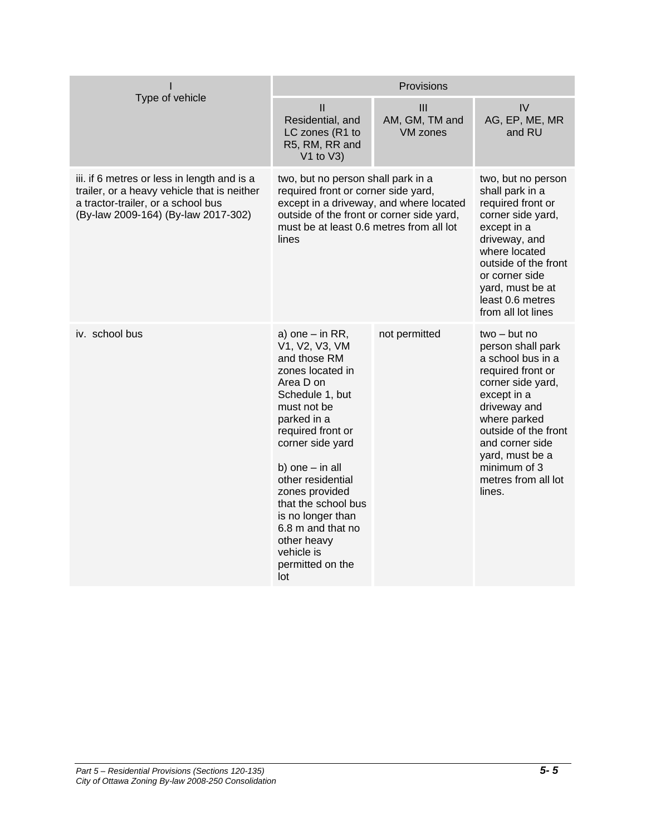|                                                                                                                                                                         | Provisions                                                                                                                                                                                                                                                                                                                                                          |                                          |                                                                                                                                                                                                                                                                  |
|-------------------------------------------------------------------------------------------------------------------------------------------------------------------------|---------------------------------------------------------------------------------------------------------------------------------------------------------------------------------------------------------------------------------------------------------------------------------------------------------------------------------------------------------------------|------------------------------------------|------------------------------------------------------------------------------------------------------------------------------------------------------------------------------------------------------------------------------------------------------------------|
| Type of vehicle                                                                                                                                                         | $\mathbf{I}$<br>Residential, and<br>LC zones (R1 to<br>R5, RM, RR and<br>$V1$ to $V3$ )                                                                                                                                                                                                                                                                             | III<br>AM, GM, TM and<br><b>VM zones</b> | IV<br>AG, EP, ME, MR<br>and RU                                                                                                                                                                                                                                   |
| iii. if 6 metres or less in length and is a<br>trailer, or a heavy vehicle that is neither<br>a tractor-trailer, or a school bus<br>(By-law 2009-164) (By-law 2017-302) | two, but no person shall park in a<br>required front or corner side yard,<br>except in a driveway, and where located<br>outside of the front or corner side yard,<br>must be at least 0.6 metres from all lot<br>lines                                                                                                                                              |                                          | two, but no person<br>shall park in a<br>required front or<br>corner side yard,<br>except in a<br>driveway, and<br>where located<br>outside of the front<br>or corner side<br>yard, must be at<br>least 0.6 metres<br>from all lot lines                         |
| iv. school bus                                                                                                                                                          | a) one $-$ in RR,<br>V1, V2, V3, VM<br>and those RM<br>zones located in<br>Area D on<br>Schedule 1, but<br>must not be<br>parked in a<br>required front or<br>corner side yard<br>b) one $-$ in all<br>other residential<br>zones provided<br>that the school bus<br>is no longer than<br>6.8 m and that no<br>other heavy<br>vehicle is<br>permitted on the<br>lot | not permitted                            | $two - but no$<br>person shall park<br>a school bus in a<br>required front or<br>corner side yard,<br>except in a<br>driveway and<br>where parked<br>outside of the front<br>and corner side<br>yard, must be a<br>minimum of 3<br>metres from all lot<br>lines. |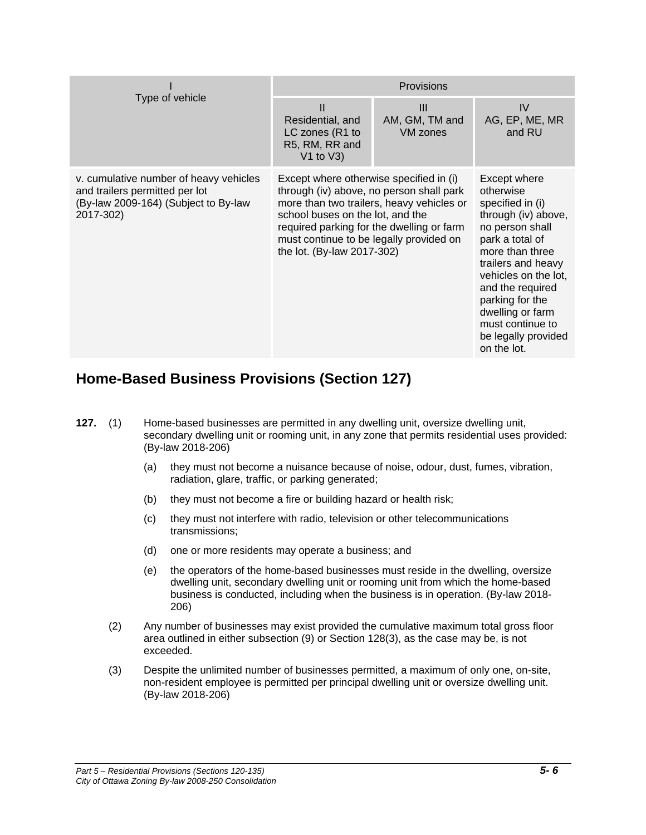| Type of vehicle                                                                                                               | Provisions                                                                                                                                                                                                                                    |                                              |                                                                                                                                                                                                                                                                                                  |
|-------------------------------------------------------------------------------------------------------------------------------|-----------------------------------------------------------------------------------------------------------------------------------------------------------------------------------------------------------------------------------------------|----------------------------------------------|--------------------------------------------------------------------------------------------------------------------------------------------------------------------------------------------------------------------------------------------------------------------------------------------------|
|                                                                                                                               | $\mathbf{I}$<br>Residential, and<br>LC zones (R1 to<br>R5, RM, RR and<br>V1 to $V3)$                                                                                                                                                          | $\mathbf{III}$<br>AM, GM, TM and<br>VM zones | IV<br>AG, EP, ME, MR<br>and RU                                                                                                                                                                                                                                                                   |
| v. cumulative number of heavy vehicles<br>and trailers permitted per lot<br>(By-law 2009-164) (Subject to By-law<br>2017-302) | Except where otherwise specified in (i)<br>through (iv) above, no person shall park<br>school buses on the lot, and the<br>required parking for the dwelling or farm<br>must continue to be legally provided on<br>the lot. (By-law 2017-302) | more than two trailers, heavy vehicles or    | Except where<br>otherwise<br>specified in (i)<br>through (iv) above,<br>no person shall<br>park a total of<br>more than three<br>trailers and heavy<br>vehicles on the lot,<br>and the required<br>parking for the<br>dwelling or farm<br>must continue to<br>be legally provided<br>on the lot. |

# **Home-Based Business Provisions (Section 127)**

- **127.** (1) Home-based businesses are permitted in any dwelling unit, oversize dwelling unit, secondary dwelling unit or rooming unit, in any zone that permits residential uses provided: (By-law 2018-206)
	- (a) they must not become a nuisance because of noise, odour, dust, fumes, vibration, radiation, glare, traffic, or parking generated;
	- (b) they must not become a fire or building hazard or health risk;
	- (c) they must not interfere with radio, television or other telecommunications transmissions;
	- (d) one or more residents may operate a business; and
	- (e) the operators of the home-based businesses must reside in the dwelling, oversize dwelling unit, secondary dwelling unit or rooming unit from which the home-based business is conducted, including when the business is in operation. (By-law 2018- 206)
	- (2) Any number of businesses may exist provided the cumulative maximum total gross floor area outlined in either subsection (9) or Section 128(3), as the case may be, is not exceeded.
	- (3) Despite the unlimited number of businesses permitted, a maximum of only one, on-site, non-resident employee is permitted per principal dwelling unit or oversize dwelling unit. (By-law 2018-206)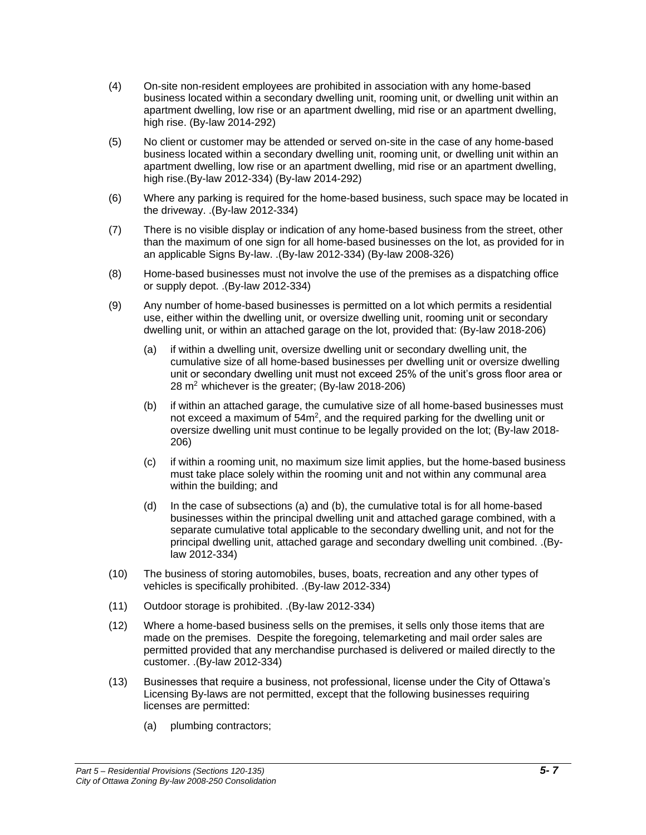- (4) On-site non-resident employees are prohibited in association with any home-based business located within a secondary dwelling unit, rooming unit, or dwelling unit within an apartment dwelling, low rise or an apartment dwelling, mid rise or an apartment dwelling, high rise. (By-law 2014-292)
- (5) No client or customer may be attended or served on-site in the case of any home-based business located within a secondary dwelling unit, rooming unit, or dwelling unit within an apartment dwelling, low rise or an apartment dwelling, mid rise or an apartment dwelling, high rise.(By-law 2012-334) (By-law 2014-292)
- (6) Where any parking is required for the home-based business, such space may be located in the driveway. .(By-law 2012-334)
- (7) There is no visible display or indication of any home-based business from the street, other than the maximum of one sign for all home-based businesses on the lot, as provided for in an applicable Signs By-law. .(By-law 2012-334) (By-law 2008-326)
- (8) Home-based businesses must not involve the use of the premises as a dispatching office or supply depot. .(By-law 2012-334)
- (9) Any number of home-based businesses is permitted on a lot which permits a residential use, either within the dwelling unit, or oversize dwelling unit, rooming unit or secondary dwelling unit, or within an attached garage on the lot, provided that: (By-law 2018-206)
	- (a) if within a dwelling unit, oversize dwelling unit or secondary dwelling unit, the cumulative size of all home-based businesses per dwelling unit or oversize dwelling unit or secondary dwelling unit must not exceed 25% of the unit's gross floor area or  $28 \text{ m}^2$  whichever is the greater; (By-law 2018-206)
	- (b) if within an attached garage, the cumulative size of all home-based businesses must not exceed a maximum of  $54m^2$ , and the required parking for the dwelling unit or oversize dwelling unit must continue to be legally provided on the lot; (By-law 2018- 206)
	- (c) if within a rooming unit, no maximum size limit applies, but the home-based business must take place solely within the rooming unit and not within any communal area within the building; and
	- (d) In the case of subsections (a) and (b), the cumulative total is for all home-based businesses within the principal dwelling unit and attached garage combined, with a separate cumulative total applicable to the secondary dwelling unit, and not for the principal dwelling unit, attached garage and secondary dwelling unit combined. .(Bylaw 2012-334)
- (10) The business of storing automobiles, buses, boats, recreation and any other types of vehicles is specifically prohibited. .(By-law 2012-334)
- (11) Outdoor storage is prohibited. .(By-law 2012-334)
- (12) Where a home-based business sells on the premises, it sells only those items that are made on the premises. Despite the foregoing, telemarketing and mail order sales are permitted provided that any merchandise purchased is delivered or mailed directly to the customer. .(By-law 2012-334)
- (13) Businesses that require a business, not professional, license under the City of Ottawa's Licensing By-laws are not permitted, except that the following businesses requiring licenses are permitted:
	- (a) plumbing contractors;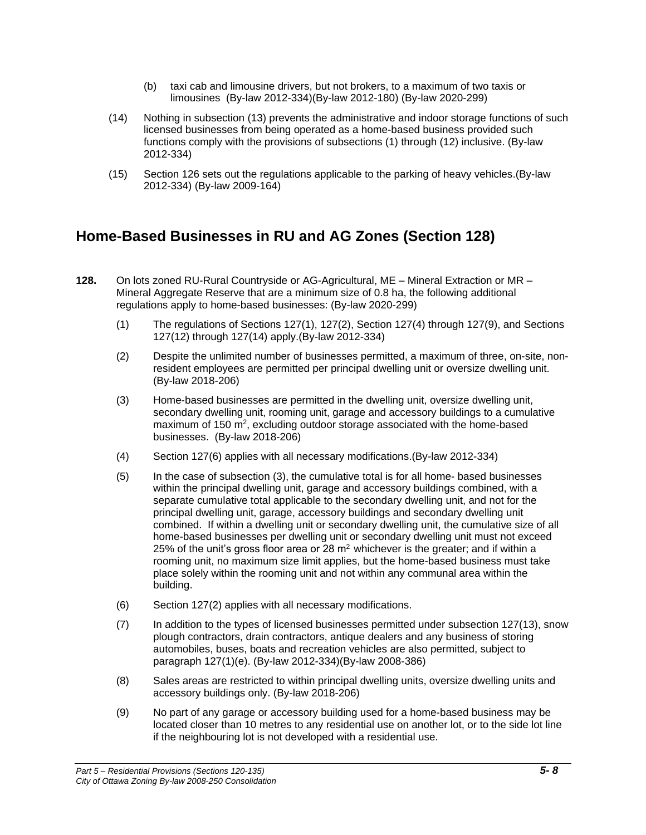- (b) taxi cab and limousine drivers, but not brokers, to a maximum of two taxis or limousines (By-law 2012-334)(By-law 2012-180) (By-law 2020-299)
- (14) Nothing in subsection (13) prevents the administrative and indoor storage functions of such licensed businesses from being operated as a home-based business provided such functions comply with the provisions of subsections (1) through (12) inclusive. (By-law 2012-334)
- (15) Section 126 sets out the regulations applicable to the parking of heavy vehicles.(By-law 2012-334) (By-law 2009-164)

### **Home-Based Businesses in RU and AG Zones (Section 128)**

- **128.** On lots zoned RU-Rural Countryside or AG-Agricultural, ME Mineral Extraction or MR Mineral Aggregate Reserve that are a minimum size of 0.8 ha, the following additional regulations apply to home-based businesses: (By-law 2020-299)
	- (1) The regulations of Sections 127(1), 127(2), Section 127(4) through 127(9), and Sections 127(12) through 127(14) apply.(By-law 2012-334)
	- (2) Despite the unlimited number of businesses permitted, a maximum of three, on-site, nonresident employees are permitted per principal dwelling unit or oversize dwelling unit. (By-law 2018-206)
	- (3) Home-based businesses are permitted in the dwelling unit, oversize dwelling unit, secondary dwelling unit, rooming unit, garage and accessory buildings to a cumulative maximum of 150 m<sup>2</sup>, excluding outdoor storage associated with the home-based businesses. (By-law 2018-206)
	- (4) Section 127(6) applies with all necessary modifications.(By-law 2012-334)
	- (5) In the case of subsection (3), the cumulative total is for all home- based businesses within the principal dwelling unit, garage and accessory buildings combined, with a separate cumulative total applicable to the secondary dwelling unit, and not for the principal dwelling unit, garage, accessory buildings and secondary dwelling unit combined. If within a dwelling unit or secondary dwelling unit, the cumulative size of all home-based businesses per dwelling unit or secondary dwelling unit must not exceed 25% of the unit's gross floor area or 28  $m<sup>2</sup>$  whichever is the greater; and if within a rooming unit, no maximum size limit applies, but the home-based business must take place solely within the rooming unit and not within any communal area within the building.
	- (6) Section 127(2) applies with all necessary modifications.
	- (7) In addition to the types of licensed businesses permitted under subsection 127(13), snow plough contractors, drain contractors, antique dealers and any business of storing automobiles, buses, boats and recreation vehicles are also permitted, subject to paragraph 127(1)(e). (By-law 2012-334)(By-law 2008-386)
	- (8) Sales areas are restricted to within principal dwelling units, oversize dwelling units and accessory buildings only. (By-law 2018-206)
	- (9) No part of any garage or accessory building used for a home-based business may be located closer than 10 metres to any residential use on another lot, or to the side lot line if the neighbouring lot is not developed with a residential use.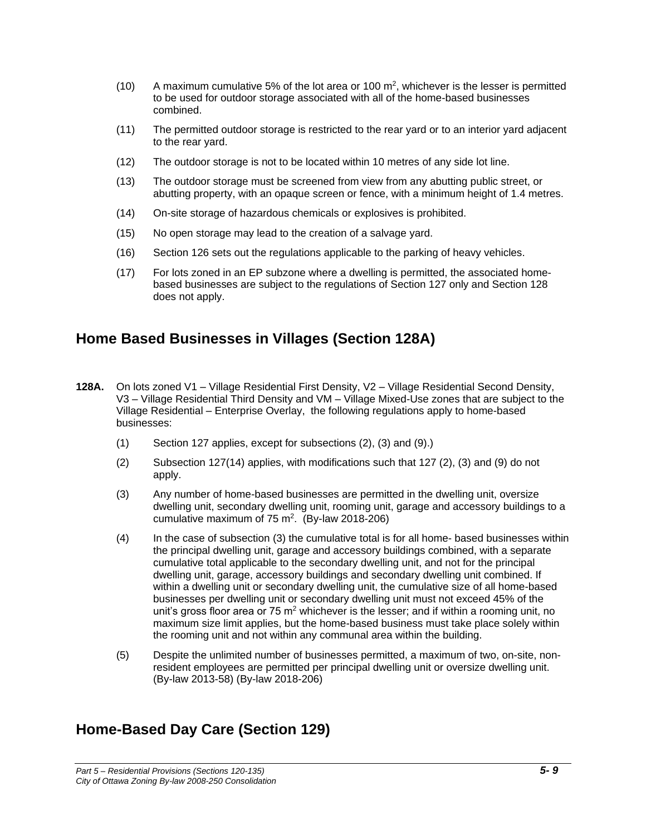- (10) A maximum cumulative 5% of the lot area or 100  $\mathrm{m}^2$ , whichever is the lesser is permitted to be used for outdoor storage associated with all of the home-based businesses combined.
- (11) The permitted outdoor storage is restricted to the rear yard or to an interior yard adjacent to the rear yard.
- (12) The outdoor storage is not to be located within 10 metres of any side lot line.
- (13) The outdoor storage must be screened from view from any abutting public street, or abutting property, with an opaque screen or fence, with a minimum height of 1.4 metres.
- (14) On-site storage of hazardous chemicals or explosives is prohibited.
- (15) No open storage may lead to the creation of a salvage yard.
- (16) Section 126 sets out the regulations applicable to the parking of heavy vehicles.
- (17) For lots zoned in an EP subzone where a dwelling is permitted, the associated homebased businesses are subject to the regulations of Section 127 only and Section 128 does not apply.

### **Home Based Businesses in Villages (Section 128A)**

- **128A.** On lots zoned V1 Village Residential First Density, V2 Village Residential Second Density, V3 – Village Residential Third Density and VM – Village Mixed-Use zones that are subject to the Village Residential – Enterprise Overlay, the following regulations apply to home-based businesses:
	- (1) Section 127 applies, except for subsections (2), (3) and (9).)
	- (2) Subsection 127(14) applies, with modifications such that 127 (2), (3) and (9) do not apply.
	- (3) Any number of home-based businesses are permitted in the dwelling unit, oversize dwelling unit, secondary dwelling unit, rooming unit, garage and accessory buildings to a cumulative maximum of  $75 \text{ m}^2$ . (By-law 2018-206)
	- (4) In the case of subsection (3) the cumulative total is for all home- based businesses within the principal dwelling unit, garage and accessory buildings combined, with a separate cumulative total applicable to the secondary dwelling unit, and not for the principal dwelling unit, garage, accessory buildings and secondary dwelling unit combined. If within a dwelling unit or secondary dwelling unit, the cumulative size of all home-based businesses per dwelling unit or secondary dwelling unit must not exceed 45% of the unit's gross floor area or 75  $m<sup>2</sup>$  whichever is the lesser; and if within a rooming unit, no maximum size limit applies, but the home-based business must take place solely within the rooming unit and not within any communal area within the building.
	- (5) Despite the unlimited number of businesses permitted, a maximum of two, on-site, nonresident employees are permitted per principal dwelling unit or oversize dwelling unit. (By-law 2013-58) (By-law 2018-206)

# **Home-Based Day Care (Section 129)**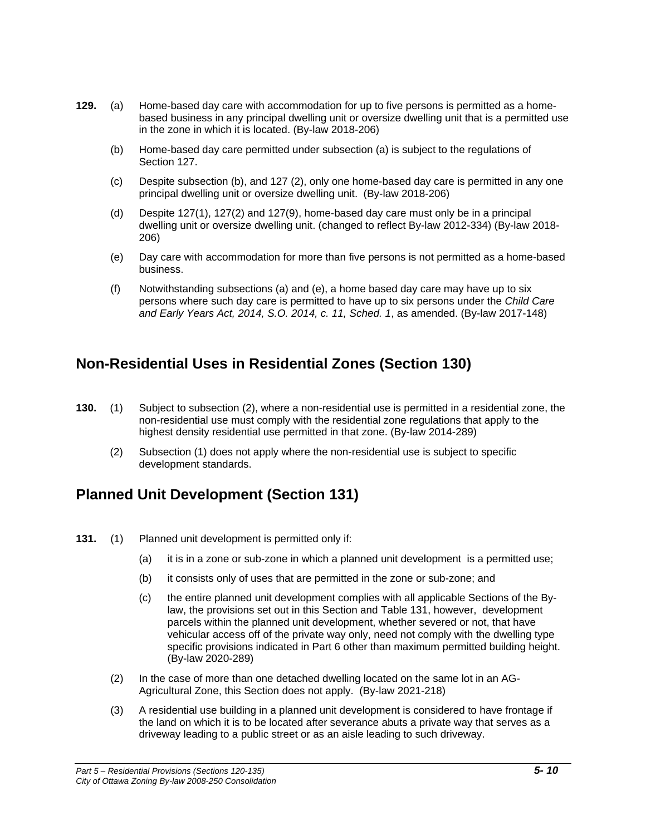- **129.** (a) Home-based day care with accommodation for up to five persons is permitted as a homebased business in any principal dwelling unit or oversize dwelling unit that is a permitted use in the zone in which it is located. (By-law 2018-206)
	- (b) Home-based day care permitted under subsection (a) is subject to the regulations of Section 127.
	- (c) Despite subsection (b), and 127 (2), only one home-based day care is permitted in any one principal dwelling unit or oversize dwelling unit. (By-law 2018-206)
	- (d) Despite 127(1), 127(2) and 127(9), home-based day care must only be in a principal dwelling unit or oversize dwelling unit. (changed to reflect By-law 2012-334) (By-law 2018- 206)
	- (e) Day care with accommodation for more than five persons is not permitted as a home-based business.
	- (f) Notwithstanding subsections (a) and (e), a home based day care may have up to six persons where such day care is permitted to have up to six persons under the *Child Care and Early Years Act, 2014, S.O. 2014, c. 11, Sched. 1*, as amended. (By-law 2017-148)

# **Non-Residential Uses in Residential Zones (Section 130)**

- **130.** (1) Subject to subsection (2), where a non-residential use is permitted in a residential zone, the non-residential use must comply with the residential zone regulations that apply to the highest density residential use permitted in that zone. (By-law 2014-289)
	- (2) Subsection (1) does not apply where the non-residential use is subject to specific development standards.

# **Planned Unit Development (Section 131)**

- **131.** (1) Planned unit development is permitted only if:
	- (a) it is in a zone or sub-zone in which a planned unit development is a permitted use;
	- (b) it consists only of uses that are permitted in the zone or sub-zone; and
	- (c) the entire planned unit development complies with all applicable Sections of the Bylaw, the provisions set out in this Section and Table 131, however, development parcels within the planned unit development, whether severed or not, that have vehicular access off of the private way only, need not comply with the dwelling type specific provisions indicated in Part 6 other than maximum permitted building height. (By-law 2020-289)
	- (2) In the case of more than one detached dwelling located on the same lot in an AG-Agricultural Zone, this Section does not apply. (By-law 2021-218)
	- (3) A residential use building in a planned unit development is considered to have frontage if the land on which it is to be located after severance abuts a private way that serves as a driveway leading to a public street or as an aisle leading to such driveway.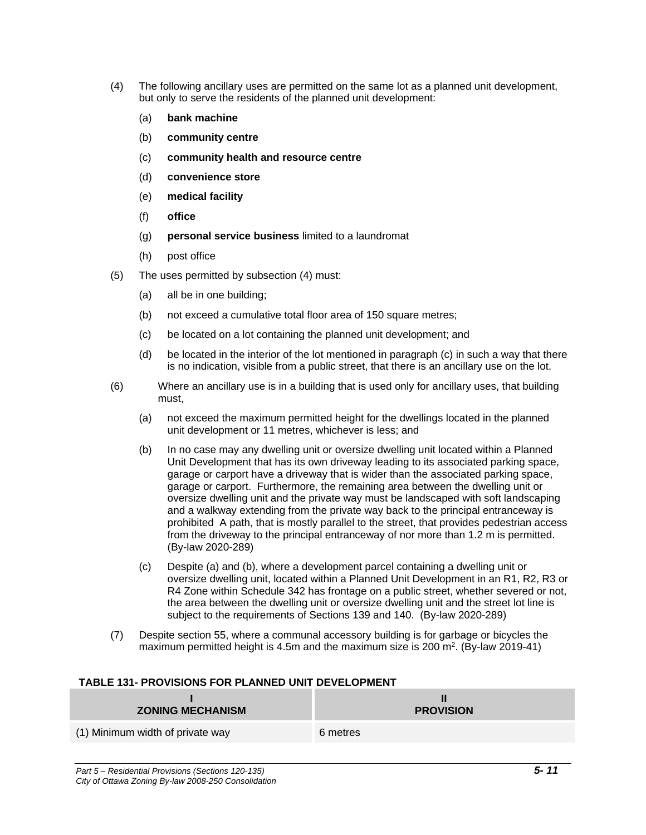- (4) The following ancillary uses are permitted on the same lot as a planned unit development, but only to serve the residents of the planned unit development:
	- (a) **bank machine**
	- (b) **community centre**
	- (c) **community health and resource centre**
	- (d) **convenience store**
	- (e) **medical facility**
	- (f) **office**
	- (g) **personal service business** limited to a laundromat
	- (h) post office
- (5) The uses permitted by subsection (4) must:
	- (a) all be in one building;
	- (b) not exceed a cumulative total floor area of 150 square metres;
	- (c) be located on a lot containing the planned unit development; and
	- (d) be located in the interior of the lot mentioned in paragraph (c) in such a way that there is no indication, visible from a public street, that there is an ancillary use on the lot.
- (6) Where an ancillary use is in a building that is used only for ancillary uses, that building must,
	- (a) not exceed the maximum permitted height for the dwellings located in the planned unit development or 11 metres, whichever is less; and
	- (b) In no case may any dwelling unit or oversize dwelling unit located within a Planned Unit Development that has its own driveway leading to its associated parking space, garage or carport have a driveway that is wider than the associated parking space, garage or carport. Furthermore, the remaining area between the dwelling unit or oversize dwelling unit and the private way must be landscaped with soft landscaping and a walkway extending from the private way back to the principal entranceway is prohibited A path, that is mostly parallel to the street, that provides pedestrian access from the driveway to the principal entranceway of nor more than 1.2 m is permitted. (By-law 2020-289)
	- (c) Despite (a) and (b), where a development parcel containing a dwelling unit or oversize dwelling unit, located within a Planned Unit Development in an R1, R2, R3 or R4 Zone within Schedule 342 has frontage on a public street, whether severed or not, the area between the dwelling unit or oversize dwelling unit and the street lot line is subject to the requirements of Sections 139 and 140. (By-law 2020-289)
- (7) Despite section 55, where a communal accessory building is for garbage or bicycles the maximum permitted height is 4.5m and the maximum size is 200  $\text{m}^2$ . (By-law 2019-41)

#### **TABLE 131- PROVISIONS FOR PLANNED UNIT DEVELOPMENT**

| <b>ZONING MECHANISM</b>          | <b>PROVISION</b> |
|----------------------------------|------------------|
| (1) Minimum width of private way | 6 metres         |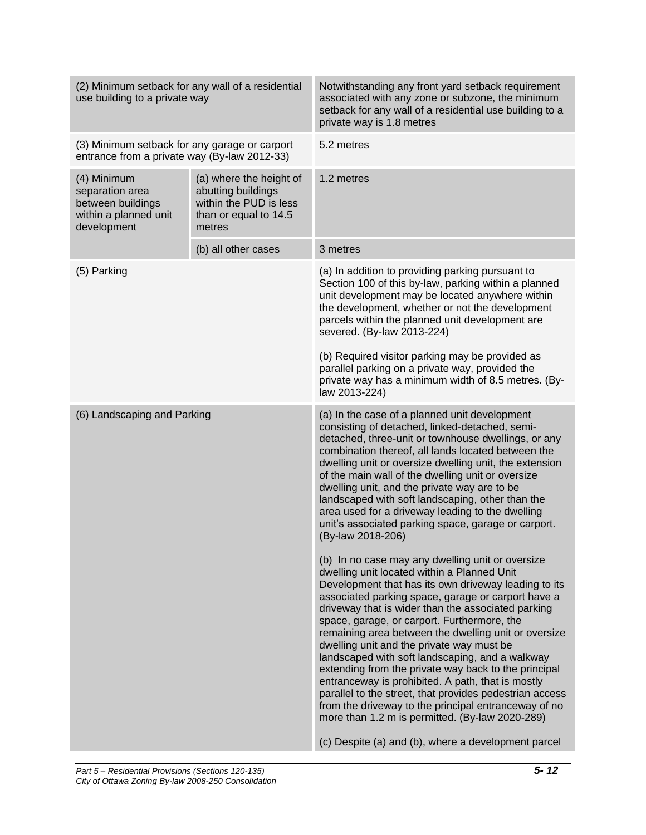| (2) Minimum setback for any wall of a residential<br>use building to a private way            |                                                                                                            | Notwithstanding any front yard setback requirement<br>associated with any zone or subzone, the minimum<br>setback for any wall of a residential use building to a<br>private way is 1.8 metres                                                                                                                                                                                                                                                                                                                                                                                                                                                                                                                    |  |
|-----------------------------------------------------------------------------------------------|------------------------------------------------------------------------------------------------------------|-------------------------------------------------------------------------------------------------------------------------------------------------------------------------------------------------------------------------------------------------------------------------------------------------------------------------------------------------------------------------------------------------------------------------------------------------------------------------------------------------------------------------------------------------------------------------------------------------------------------------------------------------------------------------------------------------------------------|--|
| (3) Minimum setback for any garage or carport<br>entrance from a private way (By-law 2012-33) |                                                                                                            | 5.2 metres                                                                                                                                                                                                                                                                                                                                                                                                                                                                                                                                                                                                                                                                                                        |  |
| (4) Minimum<br>separation area<br>between buildings<br>within a planned unit<br>development   | (a) where the height of<br>abutting buildings<br>within the PUD is less<br>than or equal to 14.5<br>metres | 1.2 metres                                                                                                                                                                                                                                                                                                                                                                                                                                                                                                                                                                                                                                                                                                        |  |
|                                                                                               | (b) all other cases                                                                                        | 3 metres                                                                                                                                                                                                                                                                                                                                                                                                                                                                                                                                                                                                                                                                                                          |  |
| (5) Parking                                                                                   |                                                                                                            | (a) In addition to providing parking pursuant to<br>Section 100 of this by-law, parking within a planned<br>unit development may be located anywhere within<br>the development, whether or not the development<br>parcels within the planned unit development are<br>severed. (By-law 2013-224)                                                                                                                                                                                                                                                                                                                                                                                                                   |  |
|                                                                                               |                                                                                                            | (b) Required visitor parking may be provided as<br>parallel parking on a private way, provided the<br>private way has a minimum width of 8.5 metres. (By-<br>law 2013-224)                                                                                                                                                                                                                                                                                                                                                                                                                                                                                                                                        |  |
| (6) Landscaping and Parking                                                                   |                                                                                                            | (a) In the case of a planned unit development<br>consisting of detached, linked-detached, semi-<br>detached, three-unit or townhouse dwellings, or any<br>combination thereof, all lands located between the<br>dwelling unit or oversize dwelling unit, the extension<br>of the main wall of the dwelling unit or oversize<br>dwelling unit, and the private way are to be<br>landscaped with soft landscaping, other than the<br>area used for a driveway leading to the dwelling<br>unit's associated parking space, garage or carport.<br>(By-law 2018-206)<br>(b) In no case may any dwelling unit or oversize<br>dwelling unit located within a Planned Unit                                                |  |
|                                                                                               |                                                                                                            | Development that has its own driveway leading to its<br>associated parking space, garage or carport have a<br>driveway that is wider than the associated parking<br>space, garage, or carport. Furthermore, the<br>remaining area between the dwelling unit or oversize<br>dwelling unit and the private way must be<br>landscaped with soft landscaping, and a walkway<br>extending from the private way back to the principal<br>entranceway is prohibited. A path, that is mostly<br>parallel to the street, that provides pedestrian access<br>from the driveway to the principal entranceway of no<br>more than 1.2 m is permitted. (By-law 2020-289)<br>(c) Despite (a) and (b), where a development parcel |  |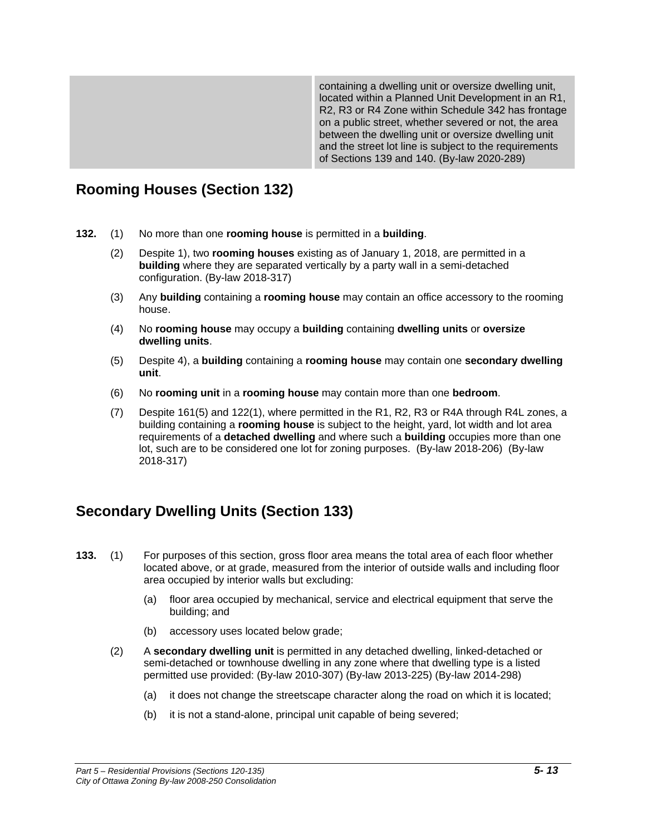containing a dwelling unit or oversize dwelling unit, located within a Planned Unit Development in an R1, R2, R3 or R4 Zone within Schedule 342 has frontage on a public street, whether severed or not, the area between the dwelling unit or oversize dwelling unit and the street lot line is subject to the requirements of Sections 139 and 140. (By-law 2020-289)

# **Rooming Houses (Section 132)**

- **132.** (1) No more than one **rooming house** is permitted in a **building**.
	- (2) Despite 1), two **rooming houses** existing as of January 1, 2018, are permitted in a **building** where they are separated vertically by a party wall in a semi-detached configuration. (By-law 2018-317)
	- (3) Any **building** containing a **rooming house** may contain an office accessory to the rooming house.
	- (4) No **rooming house** may occupy a **building** containing **dwelling units** or **oversize dwelling units**.
	- (5) Despite 4), a **building** containing a **rooming house** may contain one **secondary dwelling unit**.
	- (6) No **rooming unit** in a **rooming house** may contain more than one **bedroom**.
	- (7) Despite 161(5) and 122(1), where permitted in the R1, R2, R3 or R4A through R4L zones, a building containing a **rooming house** is subject to the height, yard, lot width and lot area requirements of a **detached dwelling** and where such a **building** occupies more than one lot, such are to be considered one lot for zoning purposes. (By-law 2018-206) (By-law 2018-317)

# **Secondary Dwelling Units (Section 133)**

- **133.** (1) For purposes of this section, gross floor area means the total area of each floor whether located above, or at grade, measured from the interior of outside walls and including floor area occupied by interior walls but excluding:
	- (a) floor area occupied by mechanical, service and electrical equipment that serve the building; and
	- (b) accessory uses located below grade;
	- (2) A **secondary dwelling unit** is permitted in any detached dwelling, linked-detached or semi-detached or townhouse dwelling in any zone where that dwelling type is a listed permitted use provided: (By-law 2010-307) (By-law 2013-225) (By-law 2014-298)
		- (a) it does not change the streetscape character along the road on which it is located;
		- (b) it is not a stand-alone, principal unit capable of being severed;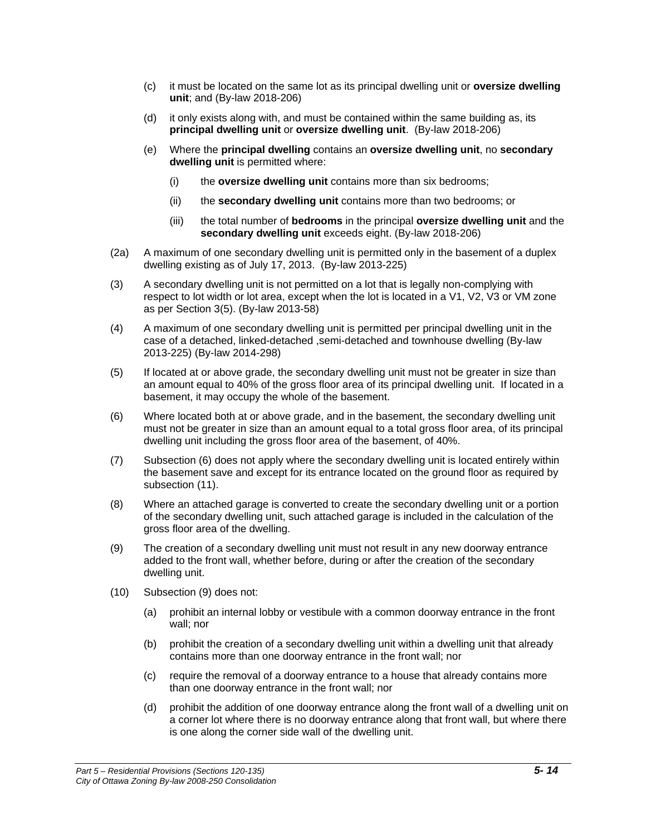- (c) it must be located on the same lot as its principal dwelling unit or **oversize dwelling unit**; and (By-law 2018-206)
- (d) it only exists along with, and must be contained within the same building as, its **principal dwelling unit** or **oversize dwelling unit**. (By-law 2018-206)
- (e) Where the **principal dwelling** contains an **oversize dwelling unit**, no **secondary dwelling unit** is permitted where:
	- (i) the **oversize dwelling unit** contains more than six bedrooms;
	- (ii) the **secondary dwelling unit** contains more than two bedrooms; or
	- (iii) the total number of **bedrooms** in the principal **oversize dwelling unit** and the **secondary dwelling unit** exceeds eight. (By-law 2018-206)
- (2a) A maximum of one secondary dwelling unit is permitted only in the basement of a duplex dwelling existing as of July 17, 2013. (By-law 2013-225)
- (3) A secondary dwelling unit is not permitted on a lot that is legally non-complying with respect to lot width or lot area, except when the lot is located in a V1, V2, V3 or VM zone as per Section 3(5). (By-law 2013-58)
- (4) A maximum of one secondary dwelling unit is permitted per principal dwelling unit in the case of a detached, linked-detached ,semi-detached and townhouse dwelling (By-law 2013-225) (By-law 2014-298)
- (5) If located at or above grade, the secondary dwelling unit must not be greater in size than an amount equal to 40% of the gross floor area of its principal dwelling unit. If located in a basement, it may occupy the whole of the basement.
- (6) Where located both at or above grade, and in the basement, the secondary dwelling unit must not be greater in size than an amount equal to a total gross floor area, of its principal dwelling unit including the gross floor area of the basement, of 40%.
- (7) Subsection (6) does not apply where the secondary dwelling unit is located entirely within the basement save and except for its entrance located on the ground floor as required by subsection (11).
- (8) Where an attached garage is converted to create the secondary dwelling unit or a portion of the secondary dwelling unit, such attached garage is included in the calculation of the gross floor area of the dwelling.
- (9) The creation of a secondary dwelling unit must not result in any new doorway entrance added to the front wall, whether before, during or after the creation of the secondary dwelling unit.
- (10) Subsection (9) does not:
	- (a) prohibit an internal lobby or vestibule with a common doorway entrance in the front wall; nor
	- (b) prohibit the creation of a secondary dwelling unit within a dwelling unit that already contains more than one doorway entrance in the front wall; nor
	- (c) require the removal of a doorway entrance to a house that already contains more than one doorway entrance in the front wall; nor
	- (d) prohibit the addition of one doorway entrance along the front wall of a dwelling unit on a corner lot where there is no doorway entrance along that front wall, but where there is one along the corner side wall of the dwelling unit.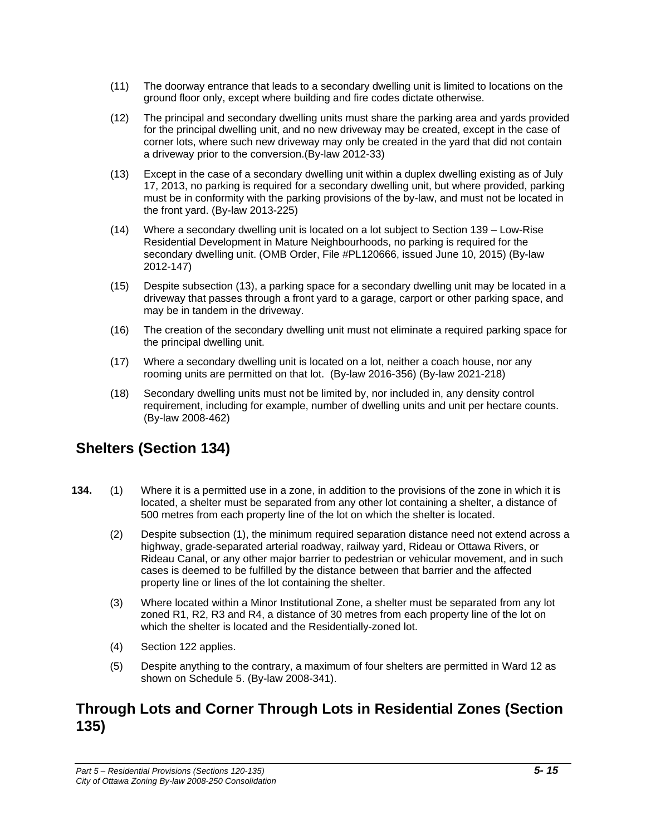- (11) The doorway entrance that leads to a secondary dwelling unit is limited to locations on the ground floor only, except where building and fire codes dictate otherwise.
- (12) The principal and secondary dwelling units must share the parking area and yards provided for the principal dwelling unit, and no new driveway may be created, except in the case of corner lots, where such new driveway may only be created in the yard that did not contain a driveway prior to the conversion.(By-law 2012-33)
- (13) Except in the case of a secondary dwelling unit within a duplex dwelling existing as of July 17, 2013, no parking is required for a secondary dwelling unit, but where provided, parking must be in conformity with the parking provisions of the by-law, and must not be located in the front yard. (By-law 2013-225)
- (14) Where a secondary dwelling unit is located on a lot subject to Section 139 Low-Rise Residential Development in Mature Neighbourhoods, no parking is required for the secondary dwelling unit. (OMB Order, File #PL120666, issued June 10, 2015) (By-law 2012-147)
- (15) Despite subsection (13), a parking space for a secondary dwelling unit may be located in a driveway that passes through a front yard to a garage, carport or other parking space, and may be in tandem in the driveway.
- (16) The creation of the secondary dwelling unit must not eliminate a required parking space for the principal dwelling unit.
- (17) Where a secondary dwelling unit is located on a lot, neither a coach house, nor any rooming units are permitted on that lot. (By-law 2016-356) (By-law 2021-218)
- (18) Secondary dwelling units must not be limited by, nor included in, any density control requirement, including for example, number of dwelling units and unit per hectare counts. (By-law 2008-462)

# **Shelters (Section 134)**

- **134.** (1) Where it is a permitted use in a zone, in addition to the provisions of the zone in which it is located, a shelter must be separated from any other lot containing a shelter, a distance of 500 metres from each property line of the lot on which the shelter is located.
	- (2) Despite subsection (1), the minimum required separation distance need not extend across a highway, grade-separated arterial roadway, railway yard, Rideau or Ottawa Rivers, or Rideau Canal, or any other major barrier to pedestrian or vehicular movement, and in such cases is deemed to be fulfilled by the distance between that barrier and the affected property line or lines of the lot containing the shelter.
	- (3) Where located within a Minor Institutional Zone, a shelter must be separated from any lot zoned R1, R2, R3 and R4, a distance of 30 metres from each property line of the lot on which the shelter is located and the Residentially-zoned lot.
	- (4) Section 122 applies.
	- (5) Despite anything to the contrary, a maximum of four shelters are permitted in Ward 12 as shown on Schedule 5. (By-law 2008-341).

### **Through Lots and Corner Through Lots in Residential Zones (Section 135)**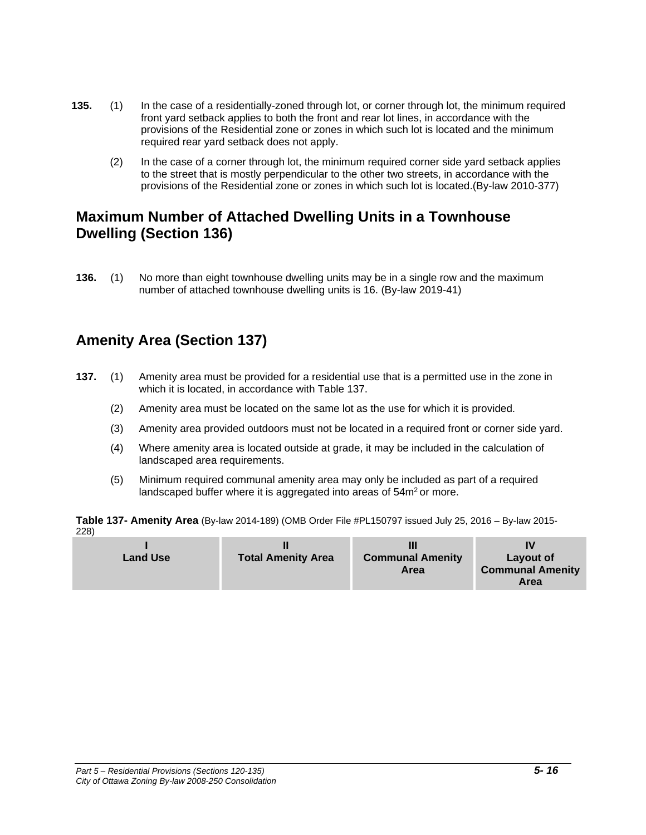- **135.** (1) In the case of a residentially-zoned through lot, or corner through lot, the minimum required front yard setback applies to both the front and rear lot lines, in accordance with the provisions of the Residential zone or zones in which such lot is located and the minimum required rear yard setback does not apply.
	- (2) In the case of a corner through lot, the minimum required corner side yard setback applies to the street that is mostly perpendicular to the other two streets, in accordance with the provisions of the Residential zone or zones in which such lot is located.(By-law 2010-377)

# **Maximum Number of Attached Dwelling Units in a Townhouse Dwelling (Section 136)**

**136.** (1) No more than eight townhouse dwelling units may be in a single row and the maximum number of attached townhouse dwelling units is 16. (By-law 2019-41)

# **Amenity Area (Section 137)**

- **137.** (1) Amenity area must be provided for a residential use that is a permitted use in the zone in which it is located, in accordance with Table 137.
	- (2) Amenity area must be located on the same lot as the use for which it is provided.
	- (3) Amenity area provided outdoors must not be located in a required front or corner side yard.
	- (4) Where amenity area is located outside at grade, it may be included in the calculation of landscaped area requirements.
	- (5) Minimum required communal amenity area may only be included as part of a required landscaped buffer where it is aggregated into areas of 54m<sup>2</sup> or more.

**Table 137- Amenity Area** (By-law 2014-189) (OMB Order File #PL150797 issued July 25, 2016 – By-law 2015- 228)

| <b>Land Use</b> | <b>Total Amenity Area</b> | <b>Communal Amenity</b><br>Area | Layout of<br><b>Communal Amenity</b><br>Area |
|-----------------|---------------------------|---------------------------------|----------------------------------------------|
|-----------------|---------------------------|---------------------------------|----------------------------------------------|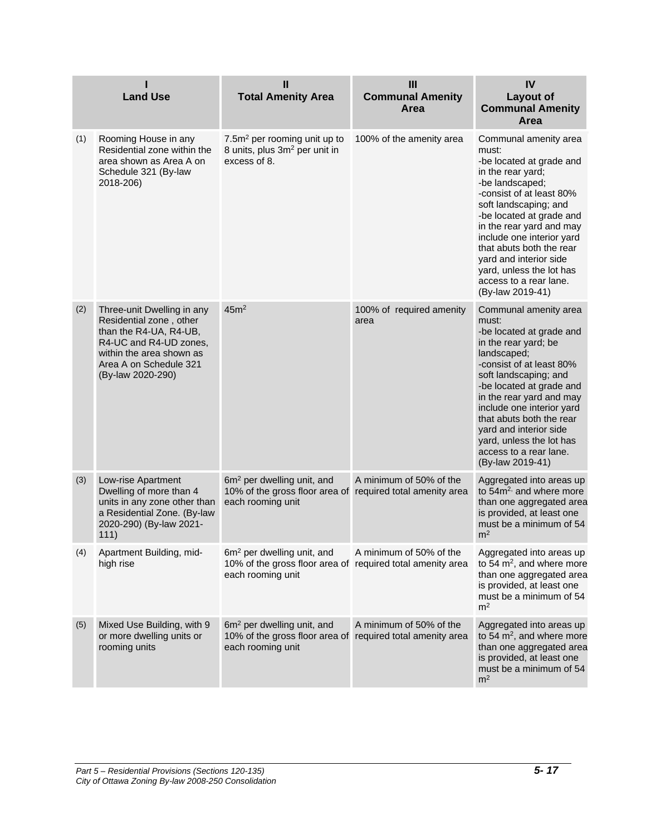|     | <b>Land Use</b>                                                                                                                                                                      | Ш<br><b>Total Amenity Area</b>                                                                                            | III<br><b>Communal Amenity</b><br>Area | IV<br><b>Layout of</b><br><b>Communal Amenity</b><br>Area                                                                                                                                                                                                                                                                                                                    |
|-----|--------------------------------------------------------------------------------------------------------------------------------------------------------------------------------------|---------------------------------------------------------------------------------------------------------------------------|----------------------------------------|------------------------------------------------------------------------------------------------------------------------------------------------------------------------------------------------------------------------------------------------------------------------------------------------------------------------------------------------------------------------------|
| (1) | Rooming House in any<br>Residential zone within the<br>area shown as Area A on<br>Schedule 321 (By-law<br>2018-206)                                                                  | 7.5m <sup>2</sup> per rooming unit up to<br>8 units, plus 3m <sup>2</sup> per unit in<br>excess of 8.                     | 100% of the amenity area               | Communal amenity area<br>must:<br>-be located at grade and<br>in the rear yard;<br>-be landscaped;<br>-consist of at least 80%<br>soft landscaping; and<br>-be located at grade and<br>in the rear yard and may<br>include one interior yard<br>that abuts both the rear<br>yard and interior side<br>yard, unless the lot has<br>access to a rear lane.<br>(By-law 2019-41) |
| (2) | Three-unit Dwelling in any<br>Residential zone, other<br>than the R4-UA, R4-UB,<br>R4-UC and R4-UD zones,<br>within the area shown as<br>Area A on Schedule 321<br>(By-law 2020-290) | 45m <sup>2</sup>                                                                                                          | 100% of required amenity<br>area       | Communal amenity area<br>must:<br>-be located at grade and<br>in the rear yard; be<br>landscaped;<br>-consist of at least 80%<br>soft landscaping; and<br>-be located at grade and<br>in the rear yard and may<br>include one interior yard<br>that abuts both the rear<br>yard and interior side<br>yard, unless the lot has<br>access to a rear lane.<br>(By-law 2019-41)  |
| (3) | Low-rise Apartment<br>Dwelling of more than 4<br>units in any zone other than<br>a Residential Zone. (By-law<br>2020-290) (By-law 2021-<br>111)                                      | 6m <sup>2</sup> per dwelling unit, and<br>10% of the gross floor area of required total amenity area<br>each rooming unit | A minimum of 50% of the                | Aggregated into areas up<br>to $54m2$ , and where more<br>than one aggregated area<br>is provided, at least one<br>must be a minimum of 54<br>m <sup>2</sup>                                                                                                                                                                                                                 |
| (4) | Apartment Building, mid-<br>high rise                                                                                                                                                | $6m2$ per dwelling unit, and<br>10% of the gross floor area of required total amenity area<br>each rooming unit           | A minimum of 50% of the                | Aggregated into areas up<br>to 54 $m^2$ , and where more<br>than one aggregated area<br>is provided, at least one<br>must be a minimum of 54<br>m <sup>2</sup>                                                                                                                                                                                                               |
| (5) | Mixed Use Building, with 9<br>or more dwelling units or<br>rooming units                                                                                                             | 6m <sup>2</sup> per dwelling unit, and<br>10% of the gross floor area of required total amenity area<br>each rooming unit | A minimum of 50% of the                | Aggregated into areas up<br>to 54 m <sup>2</sup> , and where more<br>than one aggregated area<br>is provided, at least one<br>must be a minimum of 54<br>m <sup>2</sup>                                                                                                                                                                                                      |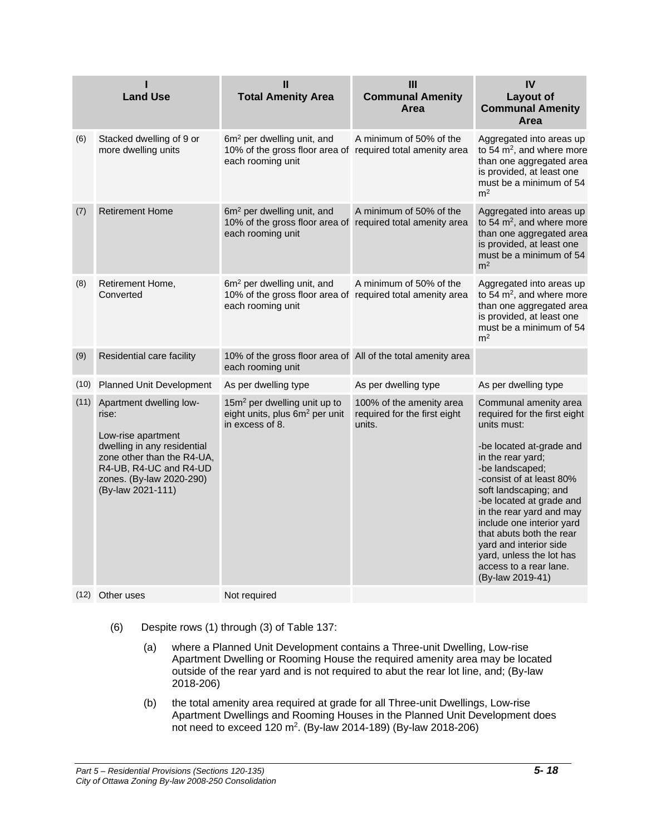|      | <b>Land Use</b>                                                                                                                                                                                | Ш<br><b>Total Amenity Area</b>                                                                                            | Ш<br><b>Communal Amenity</b><br>Area                               | IV<br><b>Layout of</b><br><b>Communal Amenity</b><br>Area                                                                                                                                                                                                                                                                                                                                                          |
|------|------------------------------------------------------------------------------------------------------------------------------------------------------------------------------------------------|---------------------------------------------------------------------------------------------------------------------------|--------------------------------------------------------------------|--------------------------------------------------------------------------------------------------------------------------------------------------------------------------------------------------------------------------------------------------------------------------------------------------------------------------------------------------------------------------------------------------------------------|
| (6)  | Stacked dwelling of 9 or<br>more dwelling units                                                                                                                                                | 6m <sup>2</sup> per dwelling unit, and<br>10% of the gross floor area of required total amenity area<br>each rooming unit | A minimum of 50% of the                                            | Aggregated into areas up<br>to 54 $m^2$ , and where more<br>than one aggregated area<br>is provided, at least one<br>must be a minimum of 54<br>m <sup>2</sup>                                                                                                                                                                                                                                                     |
| (7)  | <b>Retirement Home</b>                                                                                                                                                                         | 6m <sup>2</sup> per dwelling unit, and<br>10% of the gross floor area of<br>each rooming unit                             | A minimum of 50% of the<br>required total amenity area             | Aggregated into areas up<br>to 54 $m^2$ , and where more<br>than one aggregated area<br>is provided, at least one<br>must be a minimum of 54<br>m <sup>2</sup>                                                                                                                                                                                                                                                     |
| (8)  | Retirement Home,<br>Converted                                                                                                                                                                  | 6m <sup>2</sup> per dwelling unit, and<br>10% of the gross floor area of required total amenity area<br>each rooming unit | A minimum of 50% of the                                            | Aggregated into areas up<br>to 54 $m^2$ , and where more<br>than one aggregated area<br>is provided, at least one<br>must be a minimum of 54<br>m <sup>2</sup>                                                                                                                                                                                                                                                     |
| (9)  | Residential care facility                                                                                                                                                                      | 10% of the gross floor area of All of the total amenity area<br>each rooming unit                                         |                                                                    |                                                                                                                                                                                                                                                                                                                                                                                                                    |
| (10) | Planned Unit Development                                                                                                                                                                       | As per dwelling type                                                                                                      | As per dwelling type                                               | As per dwelling type                                                                                                                                                                                                                                                                                                                                                                                               |
| (11) | Apartment dwelling low-<br>rise:<br>Low-rise apartment<br>dwelling in any residential<br>zone other than the R4-UA,<br>R4-UB, R4-UC and R4-UD<br>zones. (By-law 2020-290)<br>(By-law 2021-111) | 15m <sup>2</sup> per dwelling unit up to<br>eight units, plus 6m <sup>2</sup> per unit<br>in excess of 8.                 | 100% of the amenity area<br>required for the first eight<br>units. | Communal amenity area<br>required for the first eight<br>units must:<br>-be located at-grade and<br>in the rear yard;<br>-be landscaped;<br>-consist of at least 80%<br>soft landscaping; and<br>-be located at grade and<br>in the rear yard and may<br>include one interior yard<br>that abuts both the rear<br>yard and interior side<br>yard, unless the lot has<br>access to a rear lane.<br>(By-law 2019-41) |
|      | (12) Other uses                                                                                                                                                                                | Not required                                                                                                              |                                                                    |                                                                                                                                                                                                                                                                                                                                                                                                                    |

- (6) Despite rows (1) through (3) of Table 137:
	- (a) where a Planned Unit Development contains a Three-unit Dwelling, Low-rise Apartment Dwelling or Rooming House the required amenity area may be located outside of the rear yard and is not required to abut the rear lot line, and; (By-law 2018-206)
	- (b) the total amenity area required at grade for all Three-unit Dwellings, Low-rise Apartment Dwellings and Rooming Houses in the Planned Unit Development does not need to exceed 120 m<sup>2</sup>. (By-law 2014-189) (By-law 2018-206)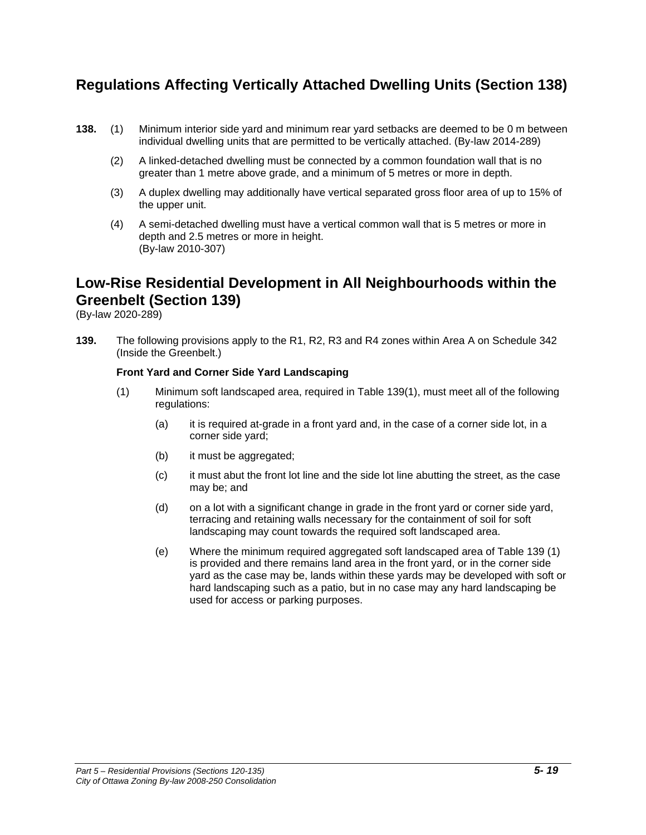# **Regulations Affecting Vertically Attached Dwelling Units (Section 138)**

- **138.** (1) Minimum interior side yard and minimum rear yard setbacks are deemed to be 0 m between individual dwelling units that are permitted to be vertically attached. (By-law 2014-289)
	- (2) A linked-detached dwelling must be connected by a common foundation wall that is no greater than 1 metre above grade, and a minimum of 5 metres or more in depth.
	- (3) A duplex dwelling may additionally have vertical separated gross floor area of up to 15% of the upper unit.
	- (4) A semi-detached dwelling must have a vertical common wall that is 5 metres or more in depth and 2.5 metres or more in height. (By-law 2010-307)

# **Low-Rise Residential Development in All Neighbourhoods within the Greenbelt (Section 139)**

(By-law 2020-289)

**139.** The following provisions apply to the R1, R2, R3 and R4 zones within Area A on Schedule 342 (Inside the Greenbelt.)

### **Front Yard and Corner Side Yard Landscaping**

- (1) Minimum soft landscaped area, required in Table 139(1), must meet all of the following regulations:
	- (a) it is required at-grade in a front yard and, in the case of a corner side lot, in a corner side yard;
	- (b) it must be aggregated;
	- (c) it must abut the front lot line and the side lot line abutting the street, as the case may be; and
	- (d) on a lot with a significant change in grade in the front yard or corner side yard, terracing and retaining walls necessary for the containment of soil for soft landscaping may count towards the required soft landscaped area.
	- (e) Where the minimum required aggregated soft landscaped area of Table 139 (1) is provided and there remains land area in the front yard, or in the corner side yard as the case may be, lands within these yards may be developed with soft or hard landscaping such as a patio, but in no case may any hard landscaping be used for access or parking purposes.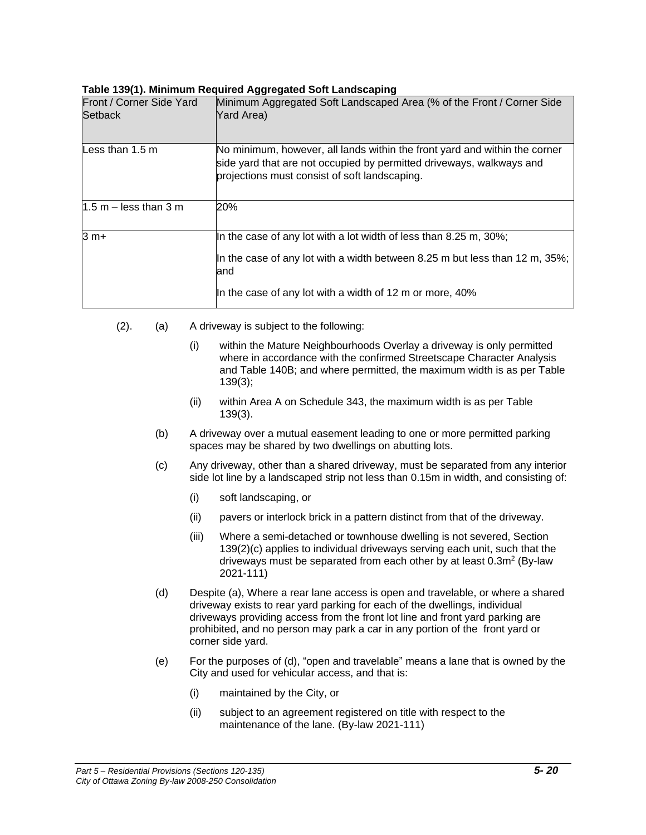#### **Table 139(1). Minimum Required Aggregated Soft Landscaping**

| Front / Corner Side Yard<br><b>Setback</b> | Minimum Aggregated Soft Landscaped Area (% of the Front / Corner Side<br>Yard Area)                                                                                                                                 |
|--------------------------------------------|---------------------------------------------------------------------------------------------------------------------------------------------------------------------------------------------------------------------|
| Less than $1.5 \text{ m}$                  | No minimum, however, all lands within the front yard and within the corner<br>side yard that are not occupied by permitted driveways, walkways and<br>projections must consist of soft landscaping.                 |
| $1.5$ m – less than 3 m                    | 20%                                                                                                                                                                                                                 |
| $3 m+$                                     | In the case of any lot with a lot width of less than 8.25 m, 30%;<br>In the case of any lot with a width between 8.25 m but less than 12 m, 35%;<br>and<br>In the case of any lot with a width of 12 m or more, 40% |

- (2). (a) A driveway is subject to the following:
	- (i) within the Mature Neighbourhoods Overlay a driveway is only permitted where in accordance with the confirmed Streetscape Character Analysis and Table 140B; and where permitted, the maximum width is as per Table 139(3);
	- (ii) within Area A on Schedule 343, the maximum width is as per Table 139(3).
	- (b) A driveway over a mutual easement leading to one or more permitted parking spaces may be shared by two dwellings on abutting lots.
	- (c) Any driveway, other than a shared driveway, must be separated from any interior side lot line by a landscaped strip not less than 0.15m in width, and consisting of:
		- (i) soft landscaping, or
		- (ii) pavers or interlock brick in a pattern distinct from that of the driveway.
		- (iii) Where a semi-detached or townhouse dwelling is not severed, Section 139(2)(c) applies to individual driveways serving each unit, such that the driveways must be separated from each other by at least  $0.3m^2$  (By-law 2021-111)
	- (d) Despite (a), Where a rear lane access is open and travelable, or where a shared driveway exists to rear yard parking for each of the dwellings, individual driveways providing access from the front lot line and front yard parking are prohibited, and no person may park a car in any portion of the front yard or corner side yard.
	- (e) For the purposes of (d), "open and travelable" means a lane that is owned by the City and used for vehicular access, and that is:
		- (i) maintained by the City, or
		- (ii) subject to an agreement registered on title with respect to the maintenance of the lane. (By-law 2021-111)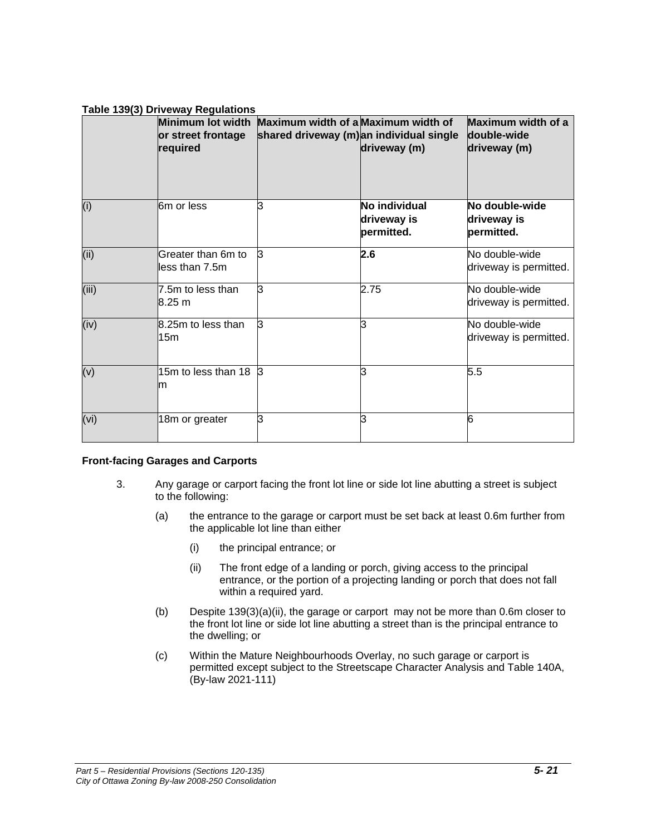### **Table 139(3) Driveway Regulations**

|       | Minimum lot width<br>or street frontage<br>required | Maximum width of a Maximum width of<br>shared driveway (m) an individual single | driveway (m)                               | Maximum width of a<br>double-wide<br>driveway (m) |
|-------|-----------------------------------------------------|---------------------------------------------------------------------------------|--------------------------------------------|---------------------------------------------------|
| (i)   | 6m or less                                          | 3                                                                               | No individual<br>driveway is<br>permitted. | No double-wide<br>driveway is<br>permitted.       |
| (ii)  | Greater than 6m to<br>less than 7.5m                | $\mathsf{B}$                                                                    | 2.6                                        | No double-wide<br>driveway is permitted.          |
| (iii) | 7.5m to less than<br>8.25 m                         | 3                                                                               | 2.75                                       | No double-wide<br>driveway is permitted.          |
| (iv)  | 8.25m to less than<br>15m                           | З                                                                               | ß.                                         | No double-wide<br>driveway is permitted.          |
| (v)   | 15m to less than 18<br>m                            | $\mathbf{3}$                                                                    | ß                                          | 5.5                                               |
| (vi)  | 18m or greater                                      | l3                                                                              | ß.                                         | 6                                                 |

### **Front-facing Garages and Carports**

- 3. Any garage or carport facing the front lot line or side lot line abutting a street is subject to the following:
	- (a) the entrance to the garage or carport must be set back at least 0.6m further from the applicable lot line than either
		- (i) the principal entrance; or
		- (ii) The front edge of a landing or porch, giving access to the principal entrance, or the portion of a projecting landing or porch that does not fall within a required yard.
	- (b) Despite 139(3)(a)(ii), the garage or carport may not be more than 0.6m closer to the front lot line or side lot line abutting a street than is the principal entrance to the dwelling; or
	- (c) Within the Mature Neighbourhoods Overlay, no such garage or carport is permitted except subject to the Streetscape Character Analysis and Table 140A, (By-law 2021-111)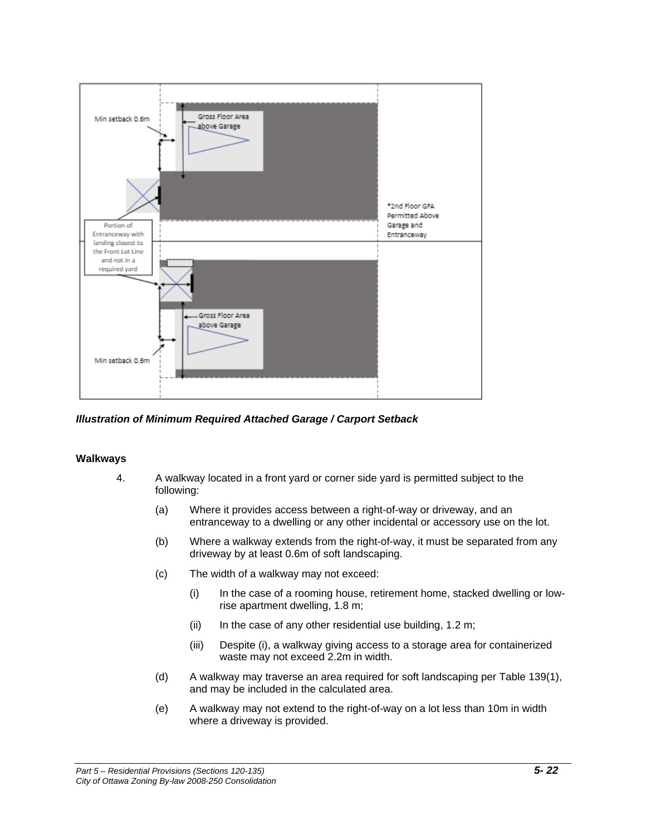

#### *Illustration of Minimum Required Attached Garage / Carport Setback*

#### **Walkways**

- 4. A walkway located in a front yard or corner side yard is permitted subject to the following:
	- (a) Where it provides access between a right-of-way or driveway, and an entranceway to a dwelling or any other incidental or accessory use on the lot.
	- (b) Where a walkway extends from the right-of-way, it must be separated from any driveway by at least 0.6m of soft landscaping.
	- (c) The width of a walkway may not exceed:
		- (i) In the case of a rooming house, retirement home, stacked dwelling or lowrise apartment dwelling, 1.8 m;
		- (ii) In the case of any other residential use building, 1.2 m;
		- (iii) Despite (i), a walkway giving access to a storage area for containerized waste may not exceed 2.2m in width.
	- (d) A walkway may traverse an area required for soft landscaping per Table 139(1), and may be included in the calculated area.
	- (e) A walkway may not extend to the right-of-way on a lot less than 10m in width where a driveway is provided.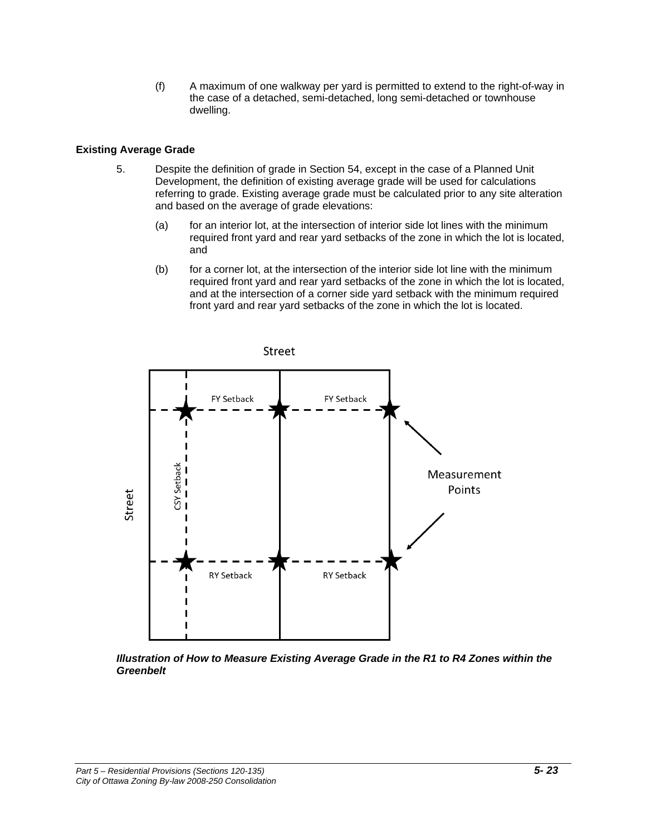(f) A maximum of one walkway per yard is permitted to extend to the right-of-way in the case of a detached, semi-detached, long semi-detached or townhouse dwelling.

#### **Existing Average Grade**

- 5. Despite the definition of grade in Section 54, except in the case of a Planned Unit Development, the definition of existing average grade will be used for calculations referring to grade. Existing average grade must be calculated prior to any site alteration and based on the average of grade elevations:
	- (a) for an interior lot, at the intersection of interior side lot lines with the minimum required front yard and rear yard setbacks of the zone in which the lot is located, and
	- (b) for a corner lot, at the intersection of the interior side lot line with the minimum required front yard and rear yard setbacks of the zone in which the lot is located, and at the intersection of a corner side yard setback with the minimum required front yard and rear yard setbacks of the zone in which the lot is located.



*Illustration of How to Measure Existing Average Grade in the R1 to R4 Zones within the Greenbelt*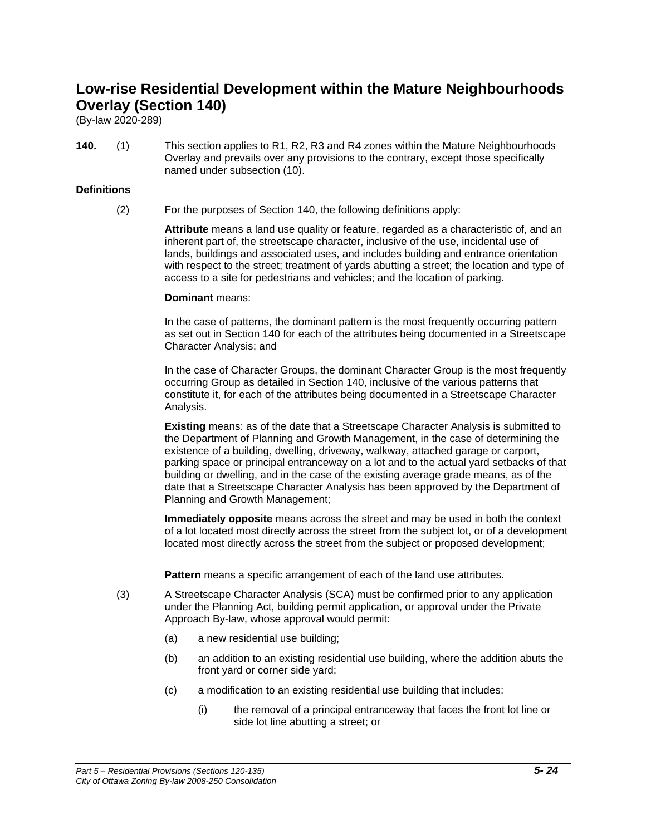# **Low-rise Residential Development within the Mature Neighbourhoods Overlay (Section 140)**

(By-law 2020-289)

**140.** (1) This section applies to R1, R2, R3 and R4 zones within the Mature Neighbourhoods Overlay and prevails over any provisions to the contrary, except those specifically named under subsection (10).

### **Definitions**

(2) For the purposes of Section 140, the following definitions apply:

**Attribute** means a land use quality or feature, regarded as a characteristic of, and an inherent part of, the streetscape character, inclusive of the use, incidental use of lands, buildings and associated uses, and includes building and entrance orientation with respect to the street; treatment of yards abutting a street; the location and type of access to a site for pedestrians and vehicles; and the location of parking.

#### **Dominant** means:

In the case of patterns, the dominant pattern is the most frequently occurring pattern as set out in Section 140 for each of the attributes being documented in a Streetscape Character Analysis; and

In the case of Character Groups, the dominant Character Group is the most frequently occurring Group as detailed in Section 140, inclusive of the various patterns that constitute it, for each of the attributes being documented in a Streetscape Character Analysis.

**Existing** means: as of the date that a Streetscape Character Analysis is submitted to the Department of Planning and Growth Management, in the case of determining the existence of a building, dwelling, driveway, walkway, attached garage or carport, parking space or principal entranceway on a lot and to the actual yard setbacks of that building or dwelling, and in the case of the existing average grade means, as of the date that a Streetscape Character Analysis has been approved by the Department of Planning and Growth Management;

**Immediately opposite** means across the street and may be used in both the context of a lot located most directly across the street from the subject lot, or of a development located most directly across the street from the subject or proposed development;

**Pattern** means a specific arrangement of each of the land use attributes.

- (3) A Streetscape Character Analysis (SCA) must be confirmed prior to any application under the Planning Act, building permit application, or approval under the Private Approach By-law, whose approval would permit:
	- (a) a new residential use building;
	- (b) an addition to an existing residential use building, where the addition abuts the front yard or corner side yard;
	- (c) a modification to an existing residential use building that includes:
		- (i) the removal of a principal entranceway that faces the front lot line or side lot line abutting a street; or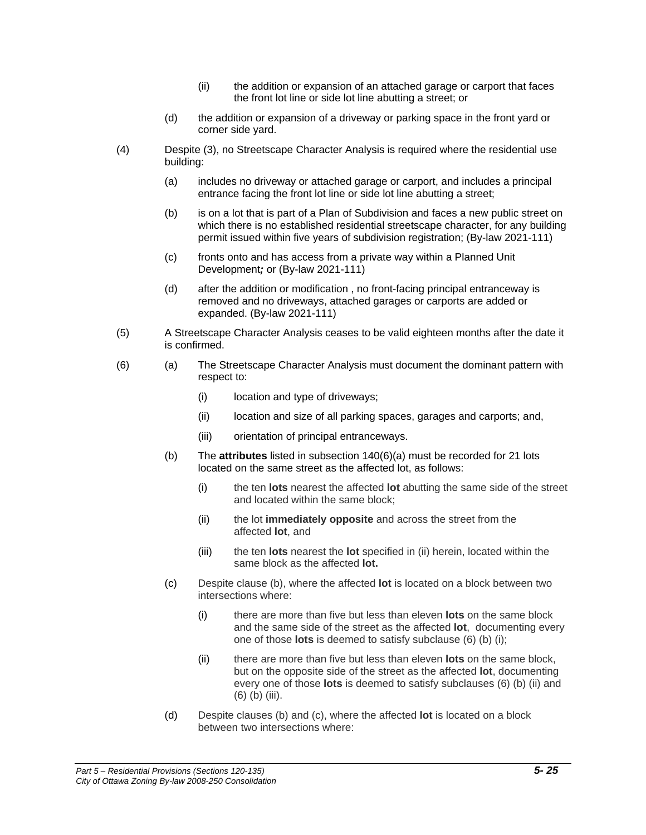- (ii) the addition or expansion of an attached garage or carport that faces the front lot line or side lot line abutting a street; or
- (d) the addition or expansion of a driveway or parking space in the front yard or corner side yard.
- (4) Despite (3), no Streetscape Character Analysis is required where the residential use building:
	- (a) includes no driveway or attached garage or carport, and includes a principal entrance facing the front lot line or side lot line abutting a street;
	- (b) is on a lot that is part of a Plan of Subdivision and faces a new public street on which there is no established residential streetscape character, for any building permit issued within five years of subdivision registration; (By-law 2021-111)
	- (c) fronts onto and has access from a private way within a Planned Unit Development*;* or (By-law 2021-111)
	- (d) after the addition or modification , no front-facing principal entranceway is removed and no driveways, attached garages or carports are added or expanded. (By-law 2021-111)
- (5) A Streetscape Character Analysis ceases to be valid eighteen months after the date it is confirmed.
- (6) (a) The Streetscape Character Analysis must document the dominant pattern with respect to:
	- (i) location and type of driveways;
	- (ii) location and size of all parking spaces, garages and carports; and,
	- (iii) orientation of principal entranceways.
	- (b) The **attributes** listed in subsection 140(6)(a) must be recorded for 21 lots located on the same street as the affected lot, as follows:
		- (i) the ten **lots** nearest the affected **lot** abutting the same side of the street and located within the same block;
		- (ii) the lot **immediately opposite** and across the street from the affected **lot**, and
		- (iii) the ten **lots** nearest the **lot** specified in (ii) herein, located within the same block as the affected **lot.**
	- (c) Despite clause (b), where the affected **lot** is located on a block between two intersections where:
		- (i) there are more than five but less than eleven **lots** on the same block and the same side of the street as the affected **lot**, documenting every one of those **lots** is deemed to satisfy subclause (6) (b) (i);
		- (ii) there are more than five but less than eleven **lots** on the same block, but on the opposite side of the street as the affected **lot**, documenting every one of those **lots** is deemed to satisfy subclauses (6) (b) (ii) and (6) (b) (iii).
	- (d) Despite clauses (b) and (c), where the affected **lot** is located on a block between two intersections where: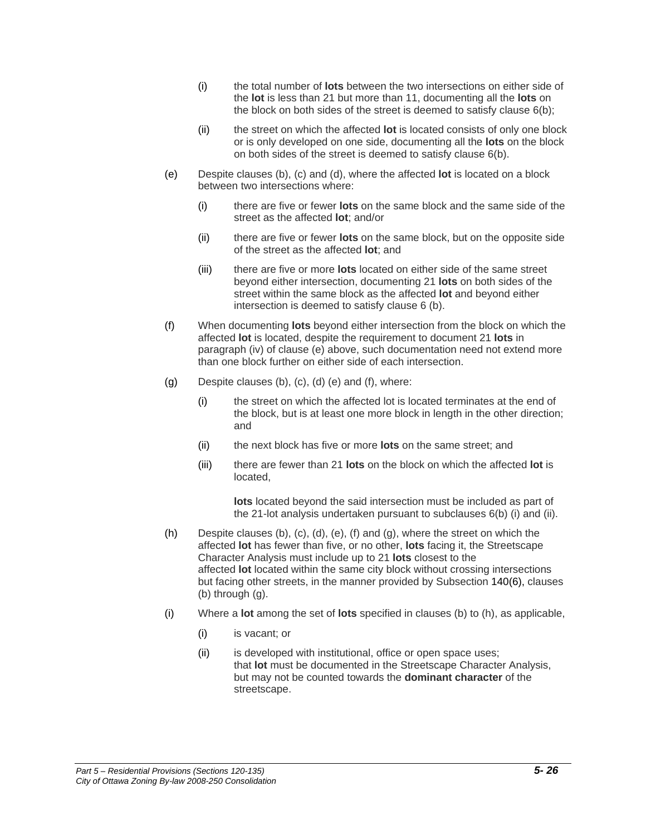- (i) the total number of **lots** between the two intersections on either side of the **lot** is less than 21 but more than 11, documenting all the **lots** on the block on both sides of the street is deemed to satisfy clause 6(b);
- (ii) the street on which the affected **lot** is located consists of only one block or is only developed on one side, documenting all the **lots** on the block on both sides of the street is deemed to satisfy clause 6(b).
- (e) Despite clauses (b), (c) and (d), where the affected **lot** is located on a block between two intersections where:
	- (i) there are five or fewer **lots** on the same block and the same side of the street as the affected **lot**; and/or
	- (ii) there are five or fewer **lots** on the same block, but on the opposite side of the street as the affected **lot**; and
	- (iii) there are five or more **lots** located on either side of the same street beyond either intersection, documenting 21 **lots** on both sides of the street within the same block as the affected **lot** and beyond either intersection is deemed to satisfy clause 6 (b).
- (f) When documenting **lots** beyond either intersection from the block on which the affected **lot** is located, despite the requirement to document 21 **lots** in paragraph (iv) of clause (e) above, such documentation need not extend more than one block further on either side of each intersection.
- (g) Despite clauses (b), (c), (d) (e) and (f), where:
	- (i) the street on which the affected lot is located terminates at the end of the block, but is at least one more block in length in the other direction; and
	- (ii) the next block has five or more **lots** on the same street; and
	- (iii) there are fewer than 21 **lots** on the block on which the affected **lot** is located,

**lots** located beyond the said intersection must be included as part of the 21-lot analysis undertaken pursuant to subclauses 6(b) (i) and (ii).

- (h) Despite clauses (b), (c), (d), (e), (f) and (g), where the street on which the affected **lot** has fewer than five, or no other, **lots** facing it, the Streetscape Character Analysis must include up to 21 **lots** closest to the affected **lot** located within the same city block without crossing intersections but facing other streets, in the manner provided by Subsection 140(6), clauses (b) through (g).
- (i) Where a **lot** among the set of **lots** specified in clauses (b) to (h), as applicable,
	- (i) is vacant; or
	- (ii) is developed with institutional, office or open space uses; that **lot** must be documented in the Streetscape Character Analysis, but may not be counted towards the **dominant character** of the streetscape.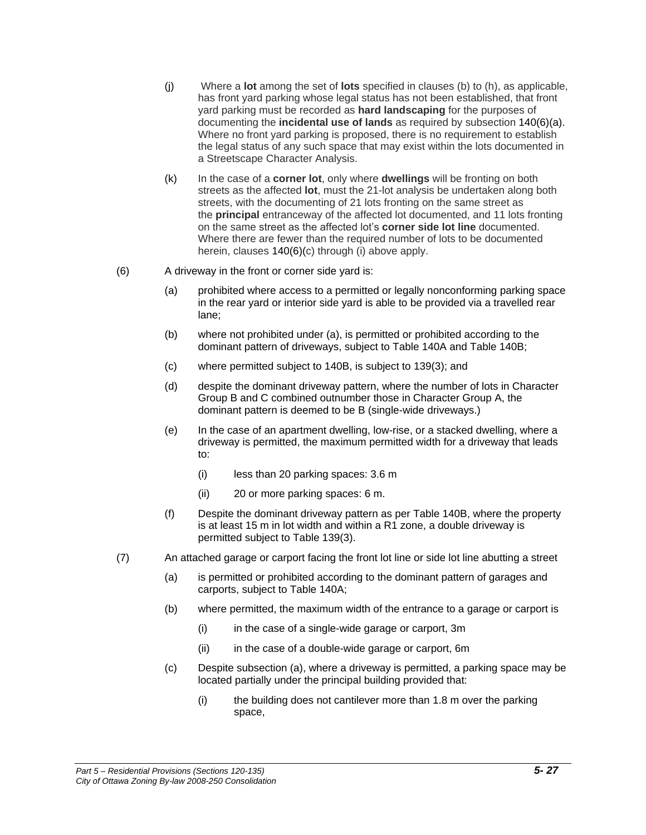- (j) Where a **lot** among the set of **lots** specified in clauses (b) to (h), as applicable, has front yard parking whose legal status has not been established, that front yard parking must be recorded as **hard landscaping** for the purposes of documenting the **incidental use of lands** as required by subsection 140(6)(a). Where no front yard parking is proposed, there is no requirement to establish the legal status of any such space that may exist within the lots documented in a Streetscape Character Analysis.
- (k) In the case of a **corner lot**, only where **dwellings** will be fronting on both streets as the affected **lot**, must the 21-lot analysis be undertaken along both streets, with the documenting of 21 lots fronting on the same street as the **principal** entranceway of the affected lot documented, and 11 lots fronting on the same street as the affected lot's **corner side lot line** documented. Where there are fewer than the required number of lots to be documented herein, clauses 140(6)(c) through (i) above apply.
- (6) A driveway in the front or corner side yard is:
	- (a) prohibited where access to a permitted or legally nonconforming parking space in the rear yard or interior side yard is able to be provided via a travelled rear lane;
	- (b) where not prohibited under (a), is permitted or prohibited according to the dominant pattern of driveways, subject to Table 140A and Table 140B;
	- (c) where permitted subject to 140B, is subject to 139(3); and
	- (d) despite the dominant driveway pattern, where the number of lots in Character Group B and C combined outnumber those in Character Group A, the dominant pattern is deemed to be B (single-wide driveways.)
	- (e) In the case of an apartment dwelling, low-rise, or a stacked dwelling, where a driveway is permitted, the maximum permitted width for a driveway that leads to:
		- (i) less than 20 parking spaces: 3.6 m
		- (ii) 20 or more parking spaces: 6 m.
	- (f) Despite the dominant driveway pattern as per Table 140B, where the property is at least 15 m in lot width and within a R1 zone, a double driveway is permitted subject to Table 139(3).
- (7) An attached garage or carport facing the front lot line or side lot line abutting a street
	- (a) is permitted or prohibited according to the dominant pattern of garages and carports, subject to Table 140A;
	- (b) where permitted, the maximum width of the entrance to a garage or carport is
		- (i) in the case of a single-wide garage or carport, 3m
		- (ii) in the case of a double-wide garage or carport, 6m
	- (c) Despite subsection (a), where a driveway is permitted, a parking space may be located partially under the principal building provided that:
		- (i) the building does not cantilever more than 1.8 m over the parking space,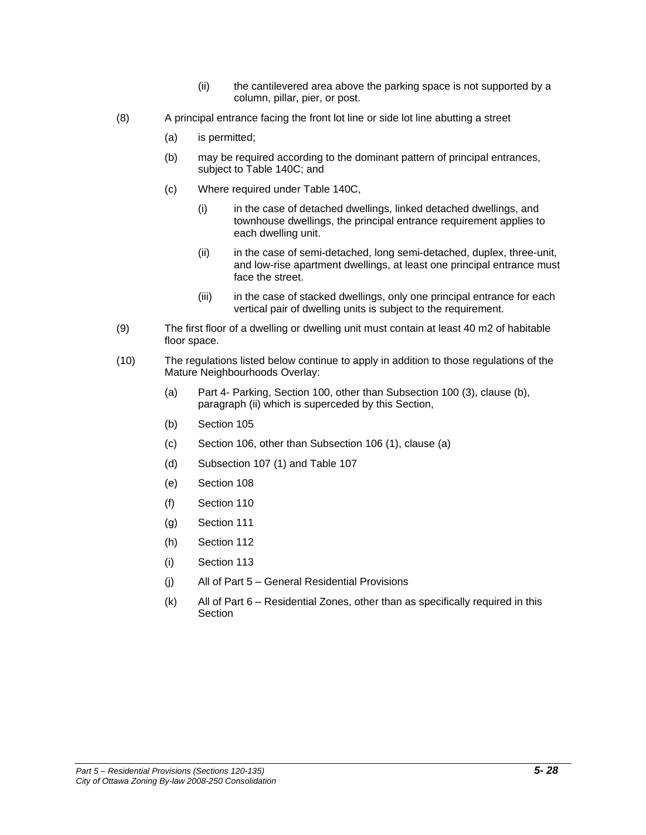- (ii) the cantilevered area above the parking space is not supported by a column, pillar, pier, or post.
- (8) A principal entrance facing the front lot line or side lot line abutting a street
	- (a) is permitted;
	- (b) may be required according to the dominant pattern of principal entrances, subject to Table 140C; and
	- (c) Where required under Table 140C,
		- (i) in the case of detached dwellings, linked detached dwellings, and townhouse dwellings, the principal entrance requirement applies to each dwelling unit.
		- (ii) in the case of semi-detached, long semi-detached, duplex, three-unit, and low-rise apartment dwellings, at least one principal entrance must face the street.
		- (iii) in the case of stacked dwellings, only one principal entrance for each vertical pair of dwelling units is subject to the requirement.
- (9) The first floor of a dwelling or dwelling unit must contain at least 40 m2 of habitable floor space.
- (10) The regulations listed below continue to apply in addition to those regulations of the Mature Neighbourhoods Overlay:
	- (a) Part 4- Parking, Section 100, other than Subsection 100 (3), clause (b), paragraph (ii) which is superceded by this Section,
	- (b) Section 105
	- (c) Section 106, other than Subsection 106 (1), clause (a)
	- (d) Subsection 107 (1) and Table 107
	- (e) Section 108
	- (f) Section 110
	- (g) Section 111
	- (h) Section 112
	- (i) Section 113
	- (j) All of Part 5 General Residential Provisions
	- (k) All of Part 6 Residential Zones, other than as specifically required in this **Section**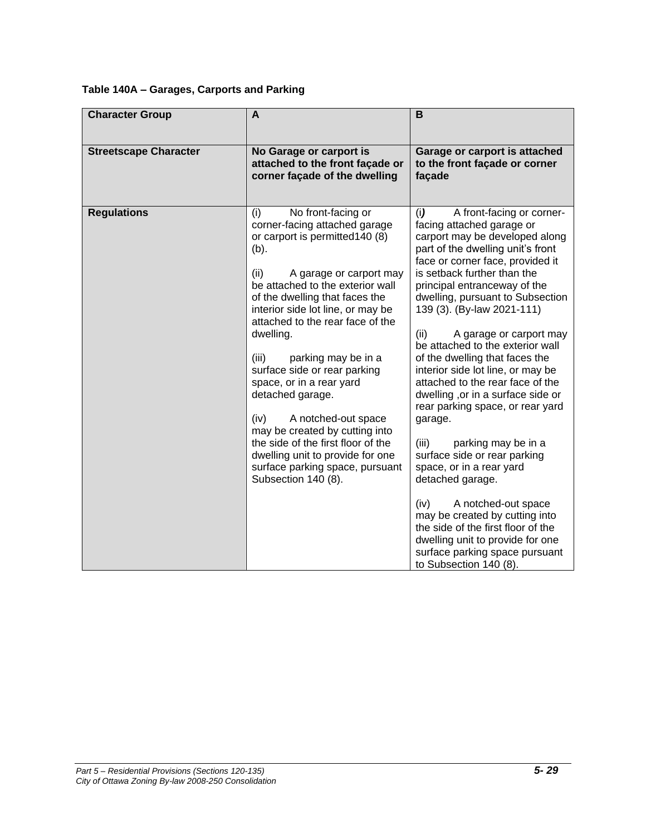# **Table 140A – Garages, Carports and Parking**

| <b>Character Group</b>       | $\mathsf{A}$                                                                                                                                                                                                                                                                                                                                                                                                                                                                                                                                                                                                                 | B                                                                                                                                                                                                                                                                                                                                                                                                                                                                                                                                                                                                                                                                                                                                                                                                                                                                                                      |
|------------------------------|------------------------------------------------------------------------------------------------------------------------------------------------------------------------------------------------------------------------------------------------------------------------------------------------------------------------------------------------------------------------------------------------------------------------------------------------------------------------------------------------------------------------------------------------------------------------------------------------------------------------------|--------------------------------------------------------------------------------------------------------------------------------------------------------------------------------------------------------------------------------------------------------------------------------------------------------------------------------------------------------------------------------------------------------------------------------------------------------------------------------------------------------------------------------------------------------------------------------------------------------------------------------------------------------------------------------------------------------------------------------------------------------------------------------------------------------------------------------------------------------------------------------------------------------|
| <b>Streetscape Character</b> | No Garage or carport is<br>attached to the front façade or<br>corner façade of the dwelling                                                                                                                                                                                                                                                                                                                                                                                                                                                                                                                                  | Garage or carport is attached<br>to the front façade or corner<br>façade                                                                                                                                                                                                                                                                                                                                                                                                                                                                                                                                                                                                                                                                                                                                                                                                                               |
| <b>Regulations</b>           | (i)<br>No front-facing or<br>corner-facing attached garage<br>or carport is permitted 140 (8)<br>$(b)$ .<br>(ii)<br>A garage or carport may<br>be attached to the exterior wall<br>of the dwelling that faces the<br>interior side lot line, or may be<br>attached to the rear face of the<br>dwelling.<br>parking may be in a<br>(iii)<br>surface side or rear parking<br>space, or in a rear yard<br>detached garage.<br>(iv)<br>A notched-out space<br>may be created by cutting into<br>the side of the first floor of the<br>dwelling unit to provide for one<br>surface parking space, pursuant<br>Subsection 140 (8). | (i)<br>A front-facing or corner-<br>facing attached garage or<br>carport may be developed along<br>part of the dwelling unit's front<br>face or corner face, provided it<br>is setback further than the<br>principal entranceway of the<br>dwelling, pursuant to Subsection<br>139 (3). (By-law 2021-111)<br>(ii)<br>A garage or carport may<br>be attached to the exterior wall<br>of the dwelling that faces the<br>interior side lot line, or may be<br>attached to the rear face of the<br>dwelling, or in a surface side or<br>rear parking space, or rear yard<br>garage.<br>parking may be in a<br>(iii)<br>surface side or rear parking<br>space, or in a rear yard<br>detached garage.<br>A notched-out space<br>(iv)<br>may be created by cutting into<br>the side of the first floor of the<br>dwelling unit to provide for one<br>surface parking space pursuant<br>to Subsection 140 (8). |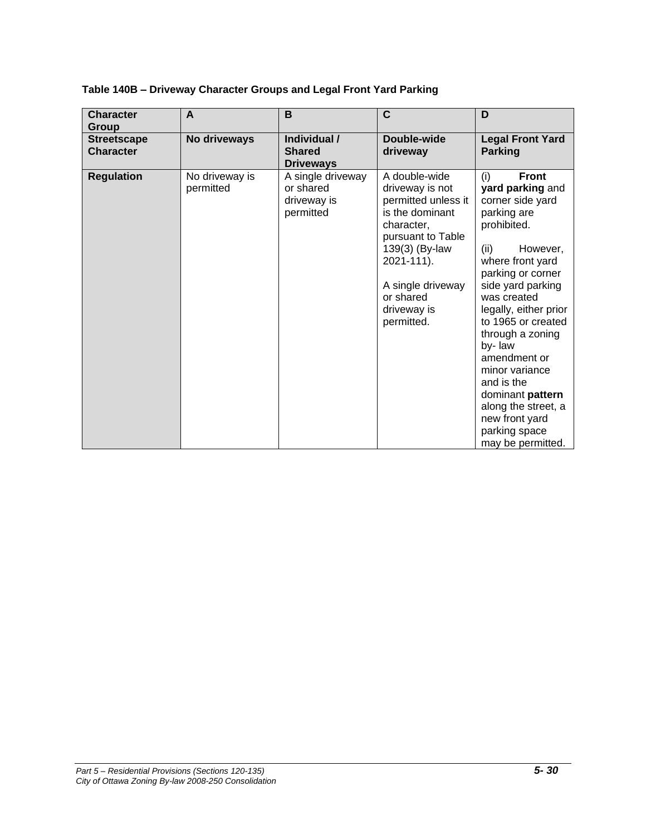| <b>Character</b><br>Group              | A                           | B                                                          | C                                                                                                                                                                                                            | D                                                                                                                                                                                                                                                                                                                                                                                                                          |
|----------------------------------------|-----------------------------|------------------------------------------------------------|--------------------------------------------------------------------------------------------------------------------------------------------------------------------------------------------------------------|----------------------------------------------------------------------------------------------------------------------------------------------------------------------------------------------------------------------------------------------------------------------------------------------------------------------------------------------------------------------------------------------------------------------------|
| <b>Streetscape</b><br><b>Character</b> | No driveways                | Individual /<br><b>Shared</b><br><b>Driveways</b>          | Double-wide<br>driveway                                                                                                                                                                                      | <b>Legal Front Yard</b><br><b>Parking</b>                                                                                                                                                                                                                                                                                                                                                                                  |
| <b>Regulation</b>                      | No driveway is<br>permitted | A single driveway<br>or shared<br>driveway is<br>permitted | A double-wide<br>driveway is not<br>permitted unless it<br>is the dominant<br>character,<br>pursuant to Table<br>139(3) (By-law<br>2021-111).<br>A single driveway<br>or shared<br>driveway is<br>permitted. | <b>Front</b><br>(i)<br>yard parking and<br>corner side yard<br>parking are<br>prohibited.<br>However,<br>(ii)<br>where front yard<br>parking or corner<br>side yard parking<br>was created<br>legally, either prior<br>to 1965 or created<br>through a zoning<br>by-law<br>amendment or<br>minor variance<br>and is the<br>dominant pattern<br>along the street, a<br>new front yard<br>parking space<br>may be permitted. |

### **Table 140B – Driveway Character Groups and Legal Front Yard Parking**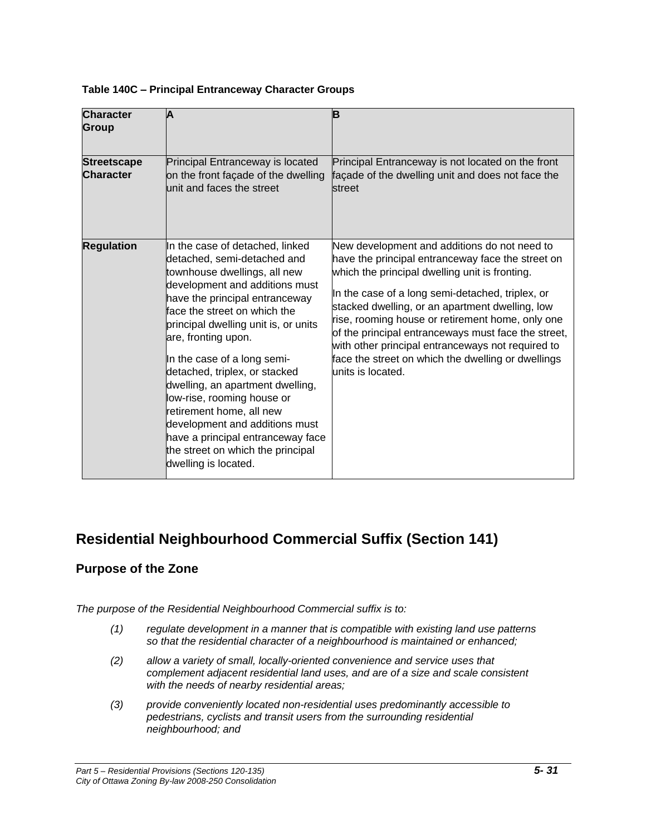| Table 140C - Principal Entranceway Character Groups |  |
|-----------------------------------------------------|--|
|-----------------------------------------------------|--|

| <b>Character</b><br><b>Group</b>       | Α                                                                                                                                                                                                                                                                                                                                                                                                                                                                                                                                                                   | B                                                                                                                                                                                                                                                                                                                                                                                                                                                                                                      |
|----------------------------------------|---------------------------------------------------------------------------------------------------------------------------------------------------------------------------------------------------------------------------------------------------------------------------------------------------------------------------------------------------------------------------------------------------------------------------------------------------------------------------------------------------------------------------------------------------------------------|--------------------------------------------------------------------------------------------------------------------------------------------------------------------------------------------------------------------------------------------------------------------------------------------------------------------------------------------------------------------------------------------------------------------------------------------------------------------------------------------------------|
| <b>Streetscape</b><br><b>Character</b> | Principal Entranceway is located<br>on the front façade of the dwelling<br>unit and faces the street                                                                                                                                                                                                                                                                                                                                                                                                                                                                | Principal Entranceway is not located on the front<br>façade of the dwelling unit and does not face the<br>street                                                                                                                                                                                                                                                                                                                                                                                       |
| <b>Regulation</b>                      | In the case of detached, linked<br>detached, semi-detached and<br>townhouse dwellings, all new<br>development and additions must<br>have the principal entranceway<br>face the street on which the<br>principal dwelling unit is, or units<br>are, fronting upon.<br>In the case of a long semi-<br>detached, triplex, or stacked<br>dwelling, an apartment dwelling,<br>low-rise, rooming house or<br>retirement home, all new<br>development and additions must<br>have a principal entranceway face<br>the street on which the principal<br>dwelling is located. | New development and additions do not need to<br>have the principal entranceway face the street on<br>which the principal dwelling unit is fronting.<br>In the case of a long semi-detached, triplex, or<br>stacked dwelling, or an apartment dwelling, low<br>rise, rooming house or retirement home, only one<br>of the principal entranceways must face the street,<br>with other principal entranceways not required to<br>face the street on which the dwelling or dwellings<br>lunits is located. |

# **Residential Neighbourhood Commercial Suffix (Section 141)**

### **Purpose of the Zone**

*The purpose of the Residential Neighbourhood Commercial suffix is to:*

- *(1) regulate development in a manner that is compatible with existing land use patterns so that the residential character of a neighbourhood is maintained or enhanced;*
- *(2) allow a variety of small, locally-oriented convenience and service uses that complement adjacent residential land uses, and are of a size and scale consistent with the needs of nearby residential areas;*
- *(3) provide conveniently located non-residential uses predominantly accessible to pedestrians, cyclists and transit users from the surrounding residential neighbourhood; and*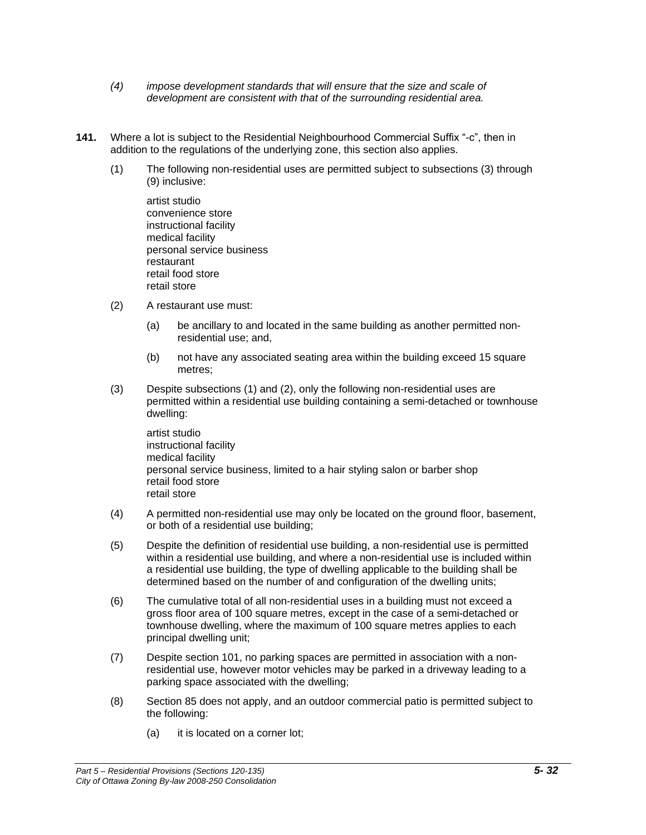- *(4) impose development standards that will ensure that the size and scale of development are consistent with that of the surrounding residential area.*
- **141.** Where a lot is subject to the Residential Neighbourhood Commercial Suffix "-c", then in addition to the regulations of the underlying zone, this section also applies.
	- (1) The following non-residential uses are permitted subject to subsections (3) through (9) inclusive:

artist studio convenience store instructional facility medical facility personal service business restaurant retail food store retail store

- (2) A restaurant use must:
	- (a) be ancillary to and located in the same building as another permitted nonresidential use; and,
	- (b) not have any associated seating area within the building exceed 15 square metres;
- (3) Despite subsections (1) and (2), only the following non-residential uses are permitted within a residential use building containing a semi-detached or townhouse dwelling:

artist studio instructional facility medical facility personal service business, limited to a hair styling salon or barber shop retail food store retail store

- (4) A permitted non-residential use may only be located on the ground floor, basement, or both of a residential use building;
- (5) Despite the definition of residential use building, a non-residential use is permitted within a residential use building, and where a non-residential use is included within a residential use building, the type of dwelling applicable to the building shall be determined based on the number of and configuration of the dwelling units;
- (6) The cumulative total of all non-residential uses in a building must not exceed a gross floor area of 100 square metres, except in the case of a semi-detached or townhouse dwelling, where the maximum of 100 square metres applies to each principal dwelling unit;
- (7) Despite section 101, no parking spaces are permitted in association with a nonresidential use, however motor vehicles may be parked in a driveway leading to a parking space associated with the dwelling;
- (8) Section 85 does not apply, and an outdoor commercial patio is permitted subject to the following:
	- (a) it is located on a corner lot;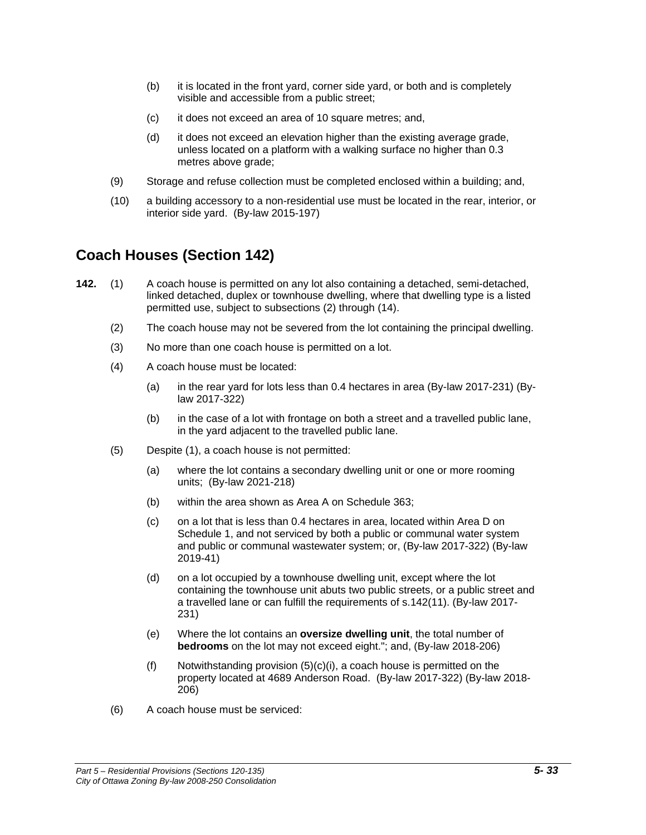- (b) it is located in the front yard, corner side yard, or both and is completely visible and accessible from a public street;
- (c) it does not exceed an area of 10 square metres; and,
- (d) it does not exceed an elevation higher than the existing average grade, unless located on a platform with a walking surface no higher than 0.3 metres above grade;
- (9) Storage and refuse collection must be completed enclosed within a building; and,
- (10) a building accessory to a non-residential use must be located in the rear, interior, or interior side yard. (By-law 2015-197)

### **Coach Houses (Section 142)**

- **142.** (1) A coach house is permitted on any lot also containing a detached, semi-detached, linked detached, duplex or townhouse dwelling, where that dwelling type is a listed permitted use, subject to subsections (2) through (14).
	- (2) The coach house may not be severed from the lot containing the principal dwelling.
	- (3) No more than one coach house is permitted on a lot.
	- (4) A coach house must be located:
		- (a) in the rear yard for lots less than 0.4 hectares in area (By-law 2017-231) (Bylaw 2017-322)
		- (b) in the case of a lot with frontage on both a street and a travelled public lane, in the yard adjacent to the travelled public lane.
	- (5) Despite (1), a coach house is not permitted:
		- (a) where the lot contains a secondary dwelling unit or one or more rooming units; (By-law 2021-218)
		- (b) within the area shown as Area A on Schedule 363;
		- (c) on a lot that is less than 0.4 hectares in area, located within Area D on Schedule 1, and not serviced by both a public or communal water system and public or communal wastewater system; or, (By-law 2017-322) (By-law 2019-41)
		- (d) on a lot occupied by a townhouse dwelling unit, except where the lot containing the townhouse unit abuts two public streets, or a public street and a travelled lane or can fulfill the requirements of s.142(11). (By-law 2017- 231)
		- (e) Where the lot contains an **oversize dwelling unit**, the total number of **bedrooms** on the lot may not exceed eight."; and, (By-law 2018-206)
		- (f) Notwithstanding provision (5)(c)(i), a coach house is permitted on the property located at 4689 Anderson Road. (By-law 2017-322) (By-law 2018- 206)
	- (6) A coach house must be serviced: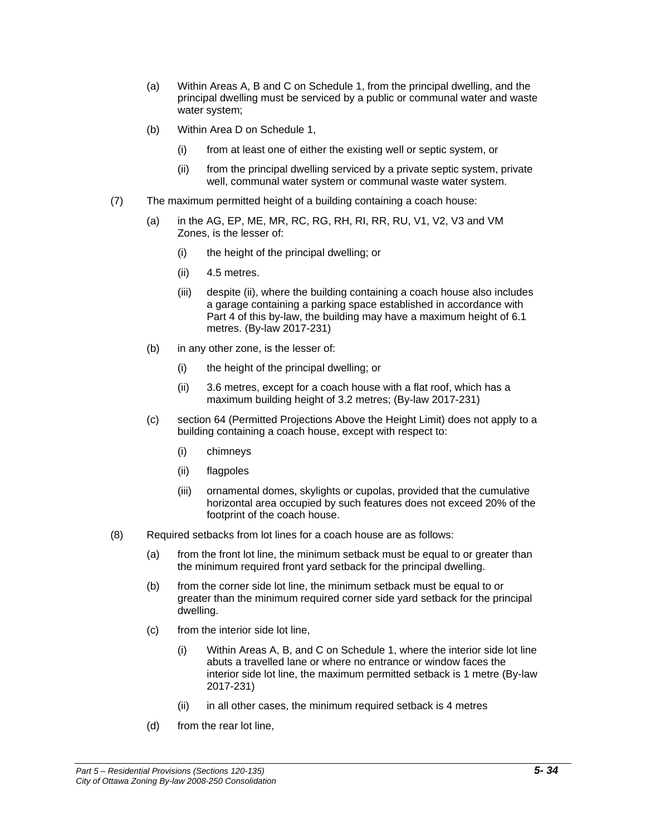- (a) Within Areas A, B and C on Schedule 1, from the principal dwelling, and the principal dwelling must be serviced by a public or communal water and waste water system;
- (b) Within Area D on Schedule 1,
	- (i) from at least one of either the existing well or septic system, or
	- (ii) from the principal dwelling serviced by a private septic system, private well, communal water system or communal waste water system.
- (7) The maximum permitted height of a building containing a coach house:
	- (a) in the AG, EP, ME, MR, RC, RG, RH, RI, RR, RU, V1, V2, V3 and VM Zones, is the lesser of:
		- (i) the height of the principal dwelling; or
		- (ii) 4.5 metres.
		- (iii) despite (ii), where the building containing a coach house also includes a garage containing a parking space established in accordance with Part 4 of this by-law, the building may have a maximum height of 6.1 metres. (By-law 2017-231)
	- (b) in any other zone, is the lesser of:
		- (i) the height of the principal dwelling; or
		- (ii) 3.6 metres, except for a coach house with a flat roof, which has a maximum building height of 3.2 metres; (By-law 2017-231)
	- (c) section 64 (Permitted Projections Above the Height Limit) does not apply to a building containing a coach house, except with respect to:
		- (i) chimneys
		- (ii) flagpoles
		- (iii) ornamental domes, skylights or cupolas, provided that the cumulative horizontal area occupied by such features does not exceed 20% of the footprint of the coach house.
- (8) Required setbacks from lot lines for a coach house are as follows:
	- (a) from the front lot line, the minimum setback must be equal to or greater than the minimum required front yard setback for the principal dwelling.
	- (b) from the corner side lot line, the minimum setback must be equal to or greater than the minimum required corner side yard setback for the principal dwelling.
	- (c) from the interior side lot line,
		- (i) Within Areas A, B, and C on Schedule 1, where the interior side lot line abuts a travelled lane or where no entrance or window faces the interior side lot line, the maximum permitted setback is 1 metre (By-law 2017-231)
		- (ii) in all other cases, the minimum required setback is 4 metres
	- (d) from the rear lot line,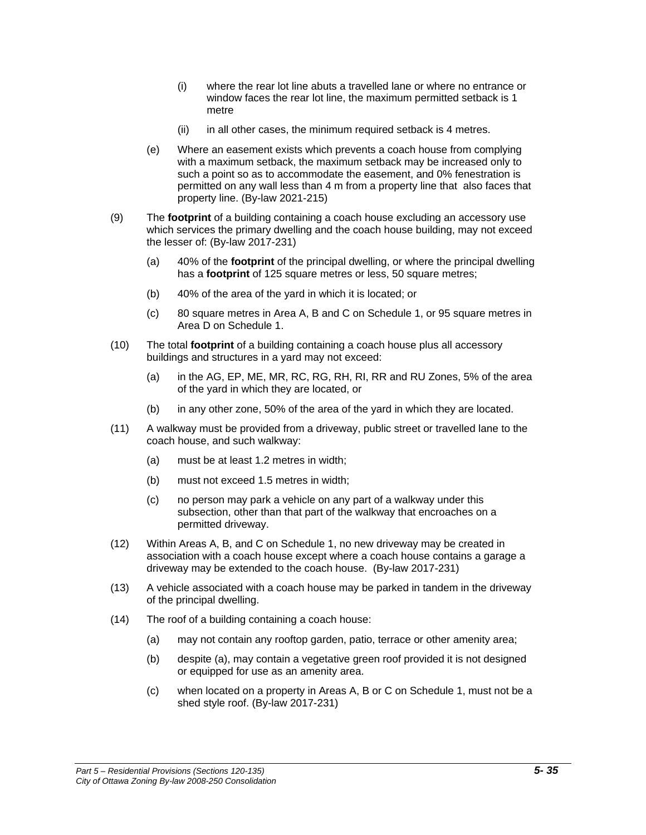- (i) where the rear lot line abuts a travelled lane or where no entrance or window faces the rear lot line, the maximum permitted setback is 1 metre
- (ii) in all other cases, the minimum required setback is 4 metres.
- (e) Where an easement exists which prevents a coach house from complying with a maximum setback, the maximum setback may be increased only to such a point so as to accommodate the easement, and 0% fenestration is permitted on any wall less than 4 m from a property line that also faces that property line. (By-law 2021-215)
- (9) The **footprint** of a building containing a coach house excluding an accessory use which services the primary dwelling and the coach house building, may not exceed the lesser of: (By-law 2017-231)
	- (a) 40% of the **footprint** of the principal dwelling, or where the principal dwelling has a **footprint** of 125 square metres or less, 50 square metres;
	- (b) 40% of the area of the yard in which it is located; or
	- (c) 80 square metres in Area A, B and C on Schedule 1, or 95 square metres in Area D on Schedule 1.
- (10) The total **footprint** of a building containing a coach house plus all accessory buildings and structures in a yard may not exceed:
	- (a) in the AG, EP, ME, MR, RC, RG, RH, RI, RR and RU Zones, 5% of the area of the yard in which they are located, or
	- (b) in any other zone, 50% of the area of the yard in which they are located.
- (11) A walkway must be provided from a driveway, public street or travelled lane to the coach house, and such walkway:
	- (a) must be at least 1.2 metres in width;
	- (b) must not exceed 1.5 metres in width;
	- (c) no person may park a vehicle on any part of a walkway under this subsection, other than that part of the walkway that encroaches on a permitted driveway.
- (12) Within Areas A, B, and C on Schedule 1, no new driveway may be created in association with a coach house except where a coach house contains a garage a driveway may be extended to the coach house. (By-law 2017-231)
- (13) A vehicle associated with a coach house may be parked in tandem in the driveway of the principal dwelling.
- (14) The roof of a building containing a coach house:
	- (a) may not contain any rooftop garden, patio, terrace or other amenity area;
	- (b) despite (a), may contain a vegetative green roof provided it is not designed or equipped for use as an amenity area.
	- (c) when located on a property in Areas A, B or C on Schedule 1, must not be a shed style roof. (By-law 2017-231)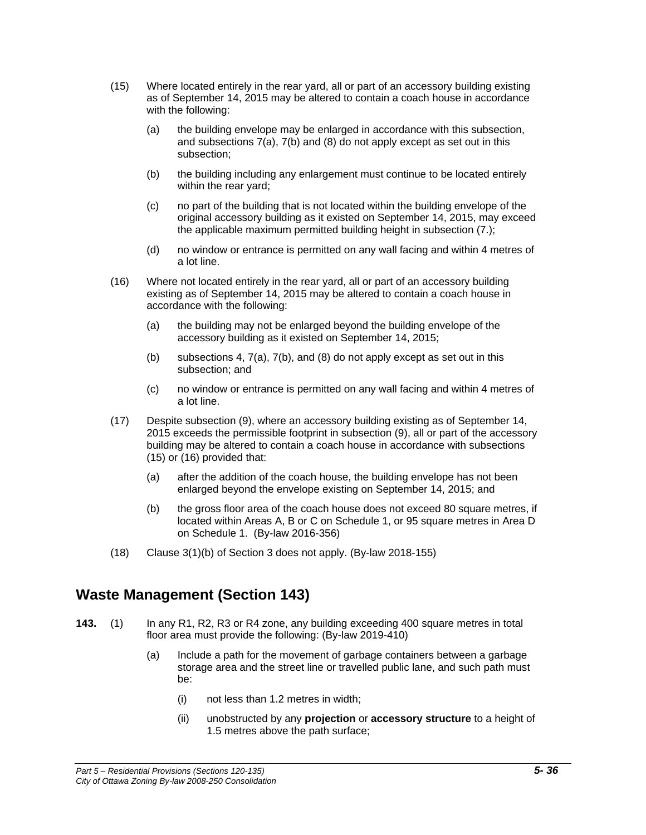- (15) Where located entirely in the rear yard, all or part of an accessory building existing as of September 14, 2015 may be altered to contain a coach house in accordance with the following:
	- (a) the building envelope may be enlarged in accordance with this subsection, and subsections 7(a), 7(b) and (8) do not apply except as set out in this subsection;
	- (b) the building including any enlargement must continue to be located entirely within the rear yard;
	- (c) no part of the building that is not located within the building envelope of the original accessory building as it existed on September 14, 2015, may exceed the applicable maximum permitted building height in subsection (7.);
	- (d) no window or entrance is permitted on any wall facing and within 4 metres of a lot line.
- (16) Where not located entirely in the rear yard, all or part of an accessory building existing as of September 14, 2015 may be altered to contain a coach house in accordance with the following:
	- (a) the building may not be enlarged beyond the building envelope of the accessory building as it existed on September 14, 2015;
	- (b) subsections 4, 7(a), 7(b), and (8) do not apply except as set out in this subsection; and
	- (c) no window or entrance is permitted on any wall facing and within 4 metres of a lot line.
- (17) Despite subsection (9), where an accessory building existing as of September 14, 2015 exceeds the permissible footprint in subsection (9), all or part of the accessory building may be altered to contain a coach house in accordance with subsections (15) or (16) provided that:
	- (a) after the addition of the coach house, the building envelope has not been enlarged beyond the envelope existing on September 14, 2015; and
	- (b) the gross floor area of the coach house does not exceed 80 square metres, if located within Areas A, B or C on Schedule 1, or 95 square metres in Area D on Schedule 1. (By-law 2016-356)
- (18) Clause 3(1)(b) of Section 3 does not apply. (By-law 2018-155)

### **Waste Management (Section 143)**

- **143.** (1) In any R1, R2, R3 or R4 zone, any building exceeding 400 square metres in total floor area must provide the following: (By-law 2019-410)
	- (a) Include a path for the movement of garbage containers between a garbage storage area and the street line or travelled public lane, and such path must be:
		- (i) not less than 1.2 metres in width;
		- (ii) unobstructed by any **projection** or **accessory structure** to a height of 1.5 metres above the path surface;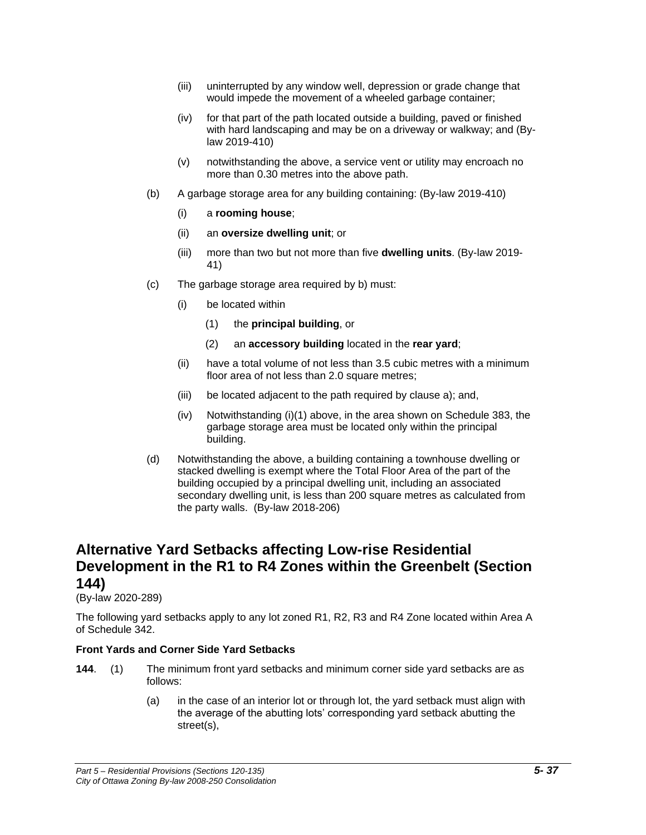- (iii) uninterrupted by any window well, depression or grade change that would impede the movement of a wheeled garbage container;
- (iv) for that part of the path located outside a building, paved or finished with hard landscaping and may be on a driveway or walkway; and (Bylaw 2019-410)
- (v) notwithstanding the above, a service vent or utility may encroach no more than 0.30 metres into the above path.
- (b) A garbage storage area for any building containing: (By-law 2019-410)
	- (i) a **rooming house**;
	- (ii) an **oversize dwelling unit**; or
	- (iii) more than two but not more than five **dwelling units**. (By-law 2019- 41)
- (c) The garbage storage area required by b) must:
	- (i) be located within
		- (1) the **principal building**, or
		- (2) an **accessory building** located in the **rear yard**;
	- (ii) have a total volume of not less than 3.5 cubic metres with a minimum floor area of not less than 2.0 square metres;
	- (iii) be located adjacent to the path required by clause a); and,
	- $(iv)$  Notwithstanding (i)(1) above, in the area shown on Schedule 383, the garbage storage area must be located only within the principal building.
- (d) Notwithstanding the above, a building containing a townhouse dwelling or stacked dwelling is exempt where the Total Floor Area of the part of the building occupied by a principal dwelling unit, including an associated secondary dwelling unit, is less than 200 square metres as calculated from the party walls. (By-law 2018-206)

### **Alternative Yard Setbacks affecting Low-rise Residential Development in the R1 to R4 Zones within the Greenbelt (Section 144)**

#### (By-law 2020-289)

The following yard setbacks apply to any lot zoned R1, R2, R3 and R4 Zone located within Area A of Schedule 342.

### **Front Yards and Corner Side Yard Setbacks**

- **144**. (1) The minimum front yard setbacks and minimum corner side yard setbacks are as follows:
	- (a) in the case of an interior lot or through lot, the yard setback must align with the average of the abutting lots' corresponding yard setback abutting the street(s),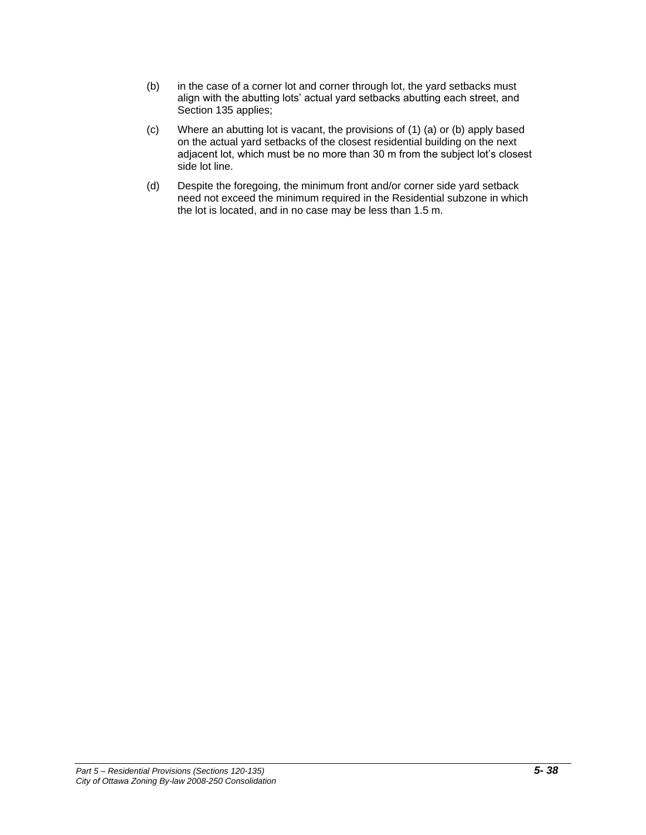- (b) in the case of a corner lot and corner through lot, the yard setbacks must align with the abutting lots' actual yard setbacks abutting each street, and Section 135 applies;
- (c) Where an abutting lot is vacant, the provisions of (1) (a) or (b) apply based on the actual yard setbacks of the closest residential building on the next adjacent lot, which must be no more than 30 m from the subject lot's closest side lot line.
- (d) Despite the foregoing, the minimum front and/or corner side yard setback need not exceed the minimum required in the Residential subzone in which the lot is located, and in no case may be less than 1.5 m.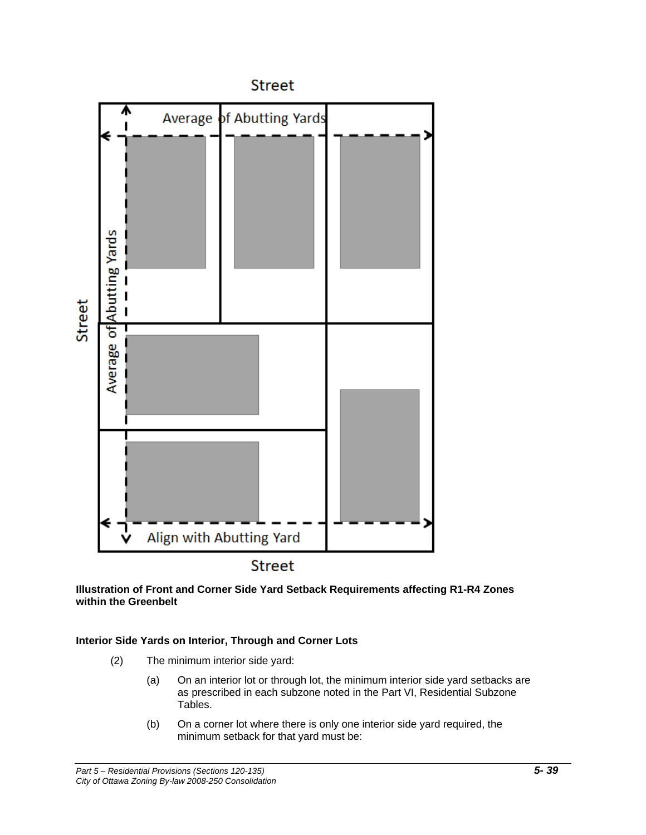

**Illustration of Front and Corner Side Yard Setback Requirements affecting R1-R4 Zones within the Greenbelt**

### **Interior Side Yards on Interior, Through and Corner Lots**

- (2) The minimum interior side yard:
	- (a) On an interior lot or through lot, the minimum interior side yard setbacks are as prescribed in each subzone noted in the Part VI, Residential Subzone Tables.
	- (b) On a corner lot where there is only one interior side yard required, the minimum setback for that yard must be: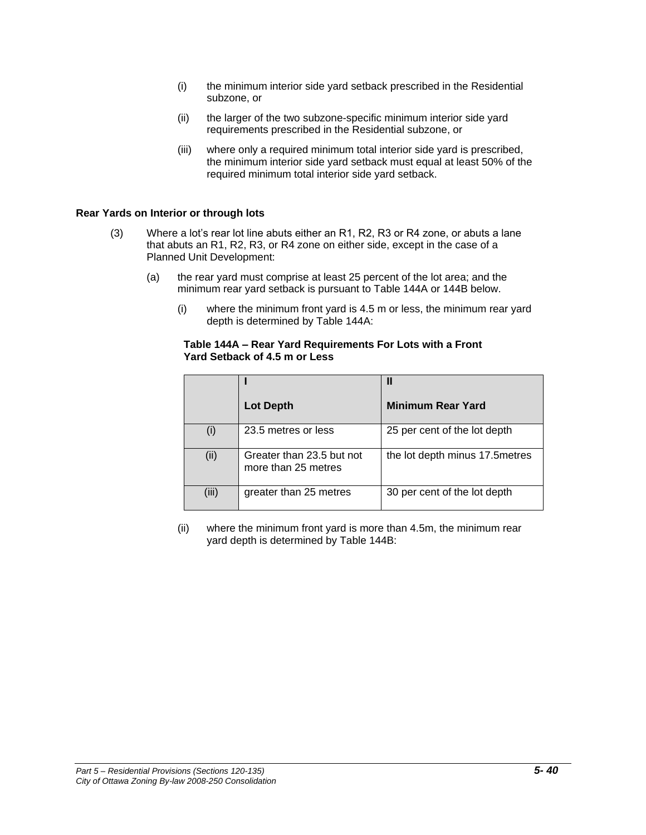- (i) the minimum interior side yard setback prescribed in the Residential subzone, or
- (ii) the larger of the two subzone-specific minimum interior side yard requirements prescribed in the Residential subzone, or
- (iii) where only a required minimum total interior side yard is prescribed, the minimum interior side yard setback must equal at least 50% of the required minimum total interior side yard setback.

#### **Rear Yards on Interior or through lots**

- (3) Where a lot's rear lot line abuts either an R1, R2, R3 or R4 zone, or abuts a lane that abuts an R1, R2, R3, or R4 zone on either side, except in the case of a Planned Unit Development:
	- (a) the rear yard must comprise at least 25 percent of the lot area; and the minimum rear yard setback is pursuant to Table 144A or 144B below.
		- (i) where the minimum front yard is 4.5 m or less, the minimum rear yard depth is determined by Table 144A:

#### **Table 144A – Rear Yard Requirements For Lots with a Front Yard Setback of 4.5 m or Less**

|       |                                                  | Ш                               |
|-------|--------------------------------------------------|---------------------------------|
|       | <b>Lot Depth</b>                                 | <b>Minimum Rear Yard</b>        |
| (i)   | 23.5 metres or less                              | 25 per cent of the lot depth    |
| (ii)  | Greater than 23.5 but not<br>more than 25 metres | the lot depth minus 17.5 metres |
| (iii) | greater than 25 metres                           | 30 per cent of the lot depth    |

(ii) where the minimum front yard is more than 4.5m, the minimum rear yard depth is determined by Table 144B: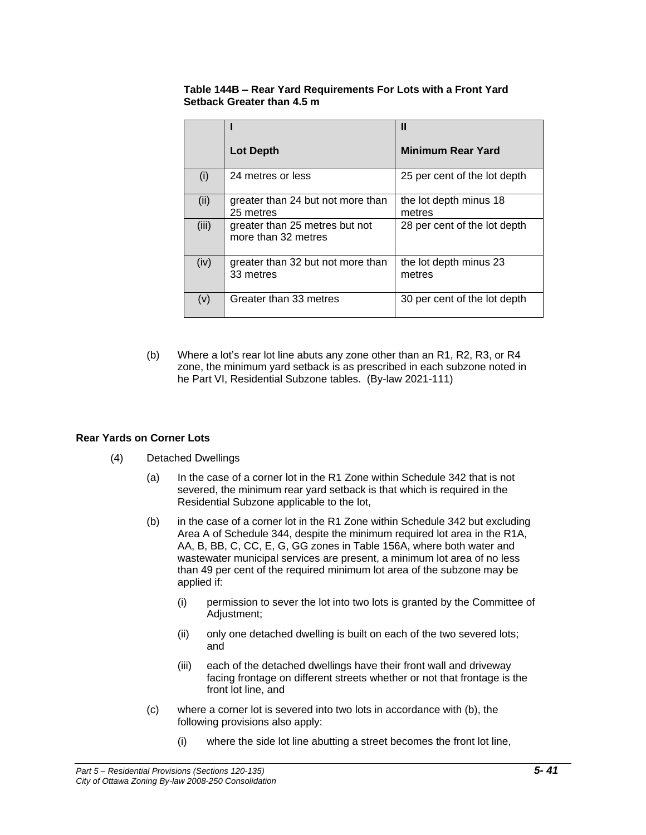#### **Table 144B – Rear Yard Requirements For Lots with a Front Yard Setback Greater than 4.5 m**

|       |                                                       | Ш                                |
|-------|-------------------------------------------------------|----------------------------------|
|       | <b>Lot Depth</b>                                      | <b>Minimum Rear Yard</b>         |
| (i)   | 24 metres or less                                     | 25 per cent of the lot depth     |
| (ii)  | greater than 24 but not more than<br>25 metres        | the lot depth minus 18<br>metres |
| (iii) | greater than 25 metres but not<br>more than 32 metres | 28 per cent of the lot depth     |
| (iv)  | greater than 32 but not more than<br>33 metres        | the lot depth minus 23<br>metres |
| (v)   | Greater than 33 metres                                | 30 per cent of the lot depth     |

(b) Where a lot's rear lot line abuts any zone other than an R1, R2, R3, or R4 zone, the minimum yard setback is as prescribed in each subzone noted in he Part VI, Residential Subzone tables. (By-law 2021-111)

### **Rear Yards on Corner Lots**

- (4) Detached Dwellings
	- (a) In the case of a corner lot in the R1 Zone within Schedule 342 that is not severed, the minimum rear yard setback is that which is required in the Residential Subzone applicable to the lot,
	- (b) in the case of a corner lot in the R1 Zone within Schedule 342 but excluding Area A of Schedule 344, despite the minimum required lot area in the R1A, AA, B, BB, C, CC, E, G, GG zones in Table 156A, where both water and wastewater municipal services are present, a minimum lot area of no less than 49 per cent of the required minimum lot area of the subzone may be applied if:
		- (i) permission to sever the lot into two lots is granted by the Committee of Adjustment;
		- (ii) only one detached dwelling is built on each of the two severed lots; and
		- (iii) each of the detached dwellings have their front wall and driveway facing frontage on different streets whether or not that frontage is the front lot line, and
	- (c) where a corner lot is severed into two lots in accordance with (b), the following provisions also apply:
		- (i) where the side lot line abutting a street becomes the front lot line,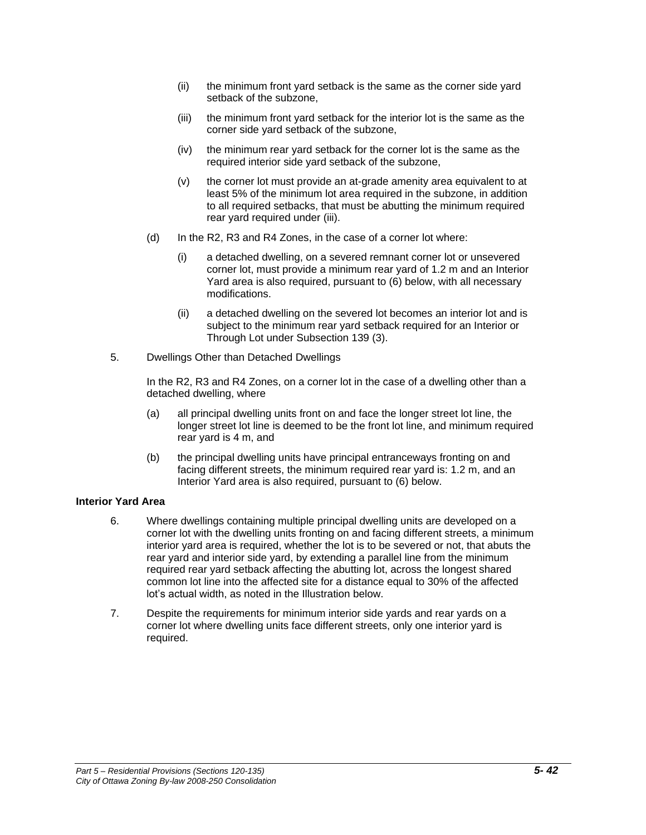- (ii) the minimum front yard setback is the same as the corner side yard setback of the subzone,
- (iii) the minimum front yard setback for the interior lot is the same as the corner side yard setback of the subzone,
- (iv) the minimum rear yard setback for the corner lot is the same as the required interior side yard setback of the subzone,
- (v) the corner lot must provide an at-grade amenity area equivalent to at least 5% of the minimum lot area required in the subzone, in addition to all required setbacks, that must be abutting the minimum required rear yard required under (iii).
- (d) In the R2, R3 and R4 Zones, in the case of a corner lot where:
	- (i) a detached dwelling, on a severed remnant corner lot or unsevered corner lot, must provide a minimum rear yard of 1.2 m and an Interior Yard area is also required, pursuant to (6) below, with all necessary modifications.
	- (ii) a detached dwelling on the severed lot becomes an interior lot and is subject to the minimum rear yard setback required for an Interior or Through Lot under Subsection 139 (3).
- 5. Dwellings Other than Detached Dwellings

In the R2, R3 and R4 Zones, on a corner lot in the case of a dwelling other than a detached dwelling, where

- (a) all principal dwelling units front on and face the longer street lot line, the longer street lot line is deemed to be the front lot line, and minimum required rear yard is 4 m, and
- (b) the principal dwelling units have principal entranceways fronting on and facing different streets, the minimum required rear yard is: 1.2 m, and an Interior Yard area is also required, pursuant to (6) below.

#### **Interior Yard Area**

- 6. Where dwellings containing multiple principal dwelling units are developed on a corner lot with the dwelling units fronting on and facing different streets, a minimum interior yard area is required, whether the lot is to be severed or not, that abuts the rear yard and interior side yard, by extending a parallel line from the minimum required rear yard setback affecting the abutting lot, across the longest shared common lot line into the affected site for a distance equal to 30% of the affected lot's actual width, as noted in the Illustration below.
- 7. Despite the requirements for minimum interior side yards and rear yards on a corner lot where dwelling units face different streets, only one interior yard is required.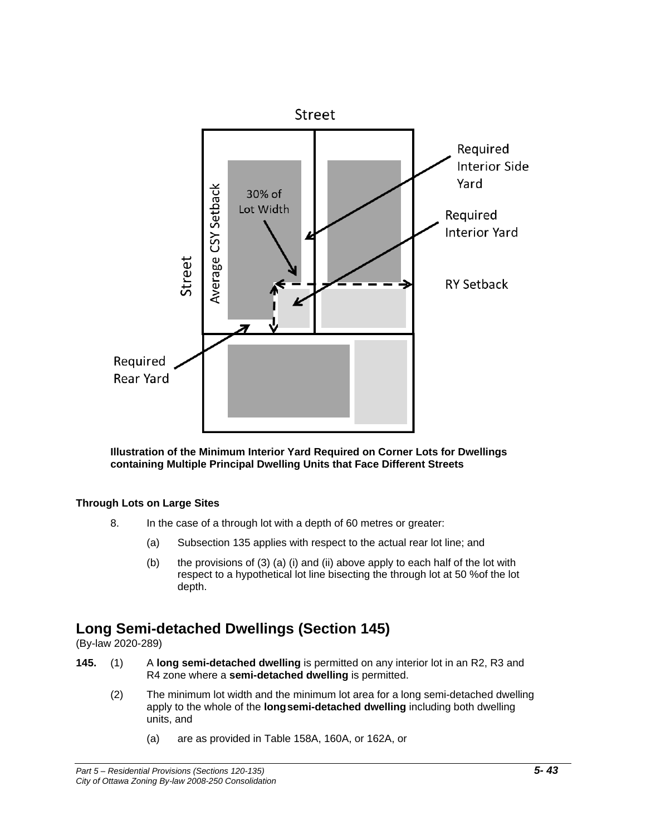

**Illustration of the Minimum Interior Yard Required on Corner Lots for Dwellings containing Multiple Principal Dwelling Units that Face Different Streets**

### **Through Lots on Large Sites**

- 8. In the case of a through lot with a depth of 60 metres or greater:
	- (a) Subsection 135 applies with respect to the actual rear lot line; and
	- (b) the provisions of (3) (a) (i) and (ii) above apply to each half of the lot with respect to a hypothetical lot line bisecting the through lot at 50 %of the lot depth.

# **Long Semi-detached Dwellings (Section 145)**

(By-law 2020-289)

- **145.** (1) A **long semi-detached dwelling** is permitted on any interior lot in an R2, R3 and R4 zone where a **semi-detached dwelling** is permitted.
	- (2) The minimum lot width and the minimum lot area for a long semi-detached dwelling apply to the whole of the **longsemi-detached dwelling** including both dwelling units, and
		- (a) are as provided in Table 158A, 160A, or 162A, or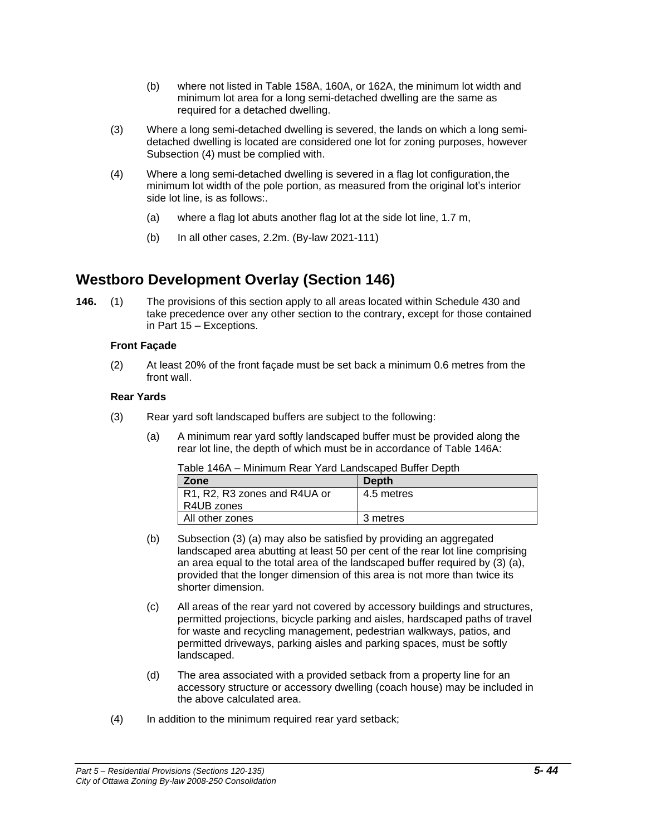- (b) where not listed in Table 158A, 160A, or 162A, the minimum lot width and minimum lot area for a long semi-detached dwelling are the same as required for a detached dwelling.
- (3) Where a long semi-detached dwelling is severed, the lands on which a long semidetached dwelling is located are considered one lot for zoning purposes, however Subsection (4) must be complied with.
- (4) Where a long semi-detached dwelling is severed in a flag lot configuration,the minimum lot width of the pole portion, as measured from the original lot's interior side lot line, is as follows:.
	- (a) where a flag lot abuts another flag lot at the side lot line, 1.7 m,
	- (b) In all other cases, 2.2m. (By-law 2021-111)

### **Westboro Development Overlay (Section 146)**

**146.** (1) The provisions of this section apply to all areas located within Schedule 430 and take precedence over any other section to the contrary, except for those contained in Part 15 – Exceptions.

### **Front Façade**

(2) At least 20% of the front façade must be set back a minimum 0.6 metres from the front wall.

#### **Rear Yards**

- (3) Rear yard soft landscaped buffers are subject to the following:
	- (a) A minimum rear yard softly landscaped buffer must be provided along the rear lot line, the depth of which must be in accordance of Table 146A:

| Zone                         | <b>Depth</b> |
|------------------------------|--------------|
| R1, R2, R3 zones and R4UA or | 4.5 metres   |
| R4UB zones                   |              |
| All other zones              | 3 metres     |

Table 146A – Minimum Rear Yard Landscaped Buffer Depth

- (b) Subsection (3) (a) may also be satisfied by providing an aggregated landscaped area abutting at least 50 per cent of the rear lot line comprising an area equal to the total area of the landscaped buffer required by (3) (a), provided that the longer dimension of this area is not more than twice its shorter dimension.
- (c) All areas of the rear yard not covered by accessory buildings and structures, permitted projections, bicycle parking and aisles, hardscaped paths of travel for waste and recycling management, pedestrian walkways, patios, and permitted driveways, parking aisles and parking spaces, must be softly landscaped.
- (d) The area associated with a provided setback from a property line for an accessory structure or accessory dwelling (coach house) may be included in the above calculated area.
- (4) In addition to the minimum required rear yard setback;